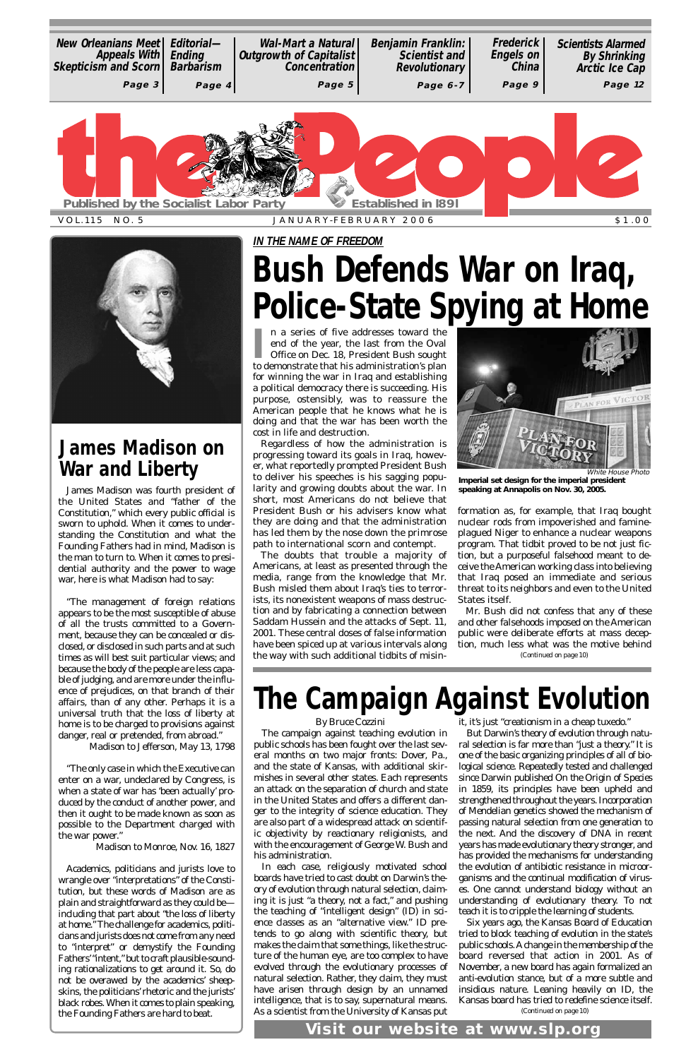I
n a series of five addresses toward the<br>
end of the year, the last from the Oval<br>
Office on Dec. 18, President Bush sought<br>
to demonstrate that his administration's plan n a series of five addresses toward the end of the year, the last from the Oval Office on Dec. 18, President Bush sought for winning the war in Iraq and establishing a political democracy there is succeeding. His purpose, ostensibly, was to reassure the American people that he knows what he is doing and that the war has been worth the cost in life and destruction.

Regardless of how the administration is progressing toward its goals in Iraq, however, what reportedly prompted President Bush to deliver his speeches is his sagging popularity and growing doubts about the war. In short, most Americans do not believe that President Bush or his advisers know what they are doing and that the administration has led them by the nose down the primrose path to international scorn and contempt.

The doubts that trouble a majority of Americans, at least as presented through the media, range from the knowledge that Mr. Bush misled them about Iraq's ties to terrorists, its nonexistent weapons of mass destruction and by fabricating a connection between Saddam Hussein and the attacks of Sept. 11, 2001. These central doses of false information have been spiced up at various intervals along the way with such additional tidbits of misinformation as, for example, that Iraq bought nuclear rods from impoverished and famineplagued Niger to enhance a nuclear weapons program. That tidbit proved to be not just fiction, but a purposeful falsehood meant to deceive the American working class into believing that Iraq posed an immediate and serious threat to its neighbors and even to the United States itself.

VOL.115 NO. 5 JANUARY-FEBRUARY 2006 \$1.00



**IN THE NAME OF FREEDOM**

# **Bush Defends War on Iraq, Police-State Spying at Home**

*By Bruce Cozzini*

The campaign against teaching evolution in public schools has been fought over the last several months on two major fronts: Dover, Pa., and the state of Kansas, with additional skirmishes in several other states. Each represents an attack on the separation of church and state in the United States and offers a different danger to the integrity of science education. They are also part of a widespread attack on scientific objectivity by reactionary religionists, and with the encouragement of George W. Bush and his administration. In each case, religiously motivated school boards have tried to cast doubt on Darwin's theory of evolution through natural selection, claiming it is just "a theory, not a fact," and pushing the teaching of "intelligent design" (ID) in science classes as an "alternative view." ID pretends to go along with scientific theory, but makes the claim that some things, like the structure of the human eye, are too complex to have evolved through the evolutionary processes of natural selection. Rather, they claim, they must have arisen through design by an unnamed intelligence, that is to say, supernatural means. As a scientist from the University of Kansas put

it, it's just "creationism in a cheap tuxedo."

But Darwin's theory of evolution through natural selection is far more than "just a theory." It is one of the basic organizing principles of all of biological science. Repeatedly tested and challenged since Darwin published *On the Origin of Species* in 1859, its principles have been upheld and strengthened throughout the years. Incorporation of Mendelian genetics showed the mechanism of passing natural selection from one generation to the next. And the discovery of DNA in recent years has made evolutionary theory stronger, and has provided the mechanisms for understanding the evolution of antibiotic resistance in microorganisms and the continual modification of viruses. One cannot understand biology without an understanding of evolutionary theory. To not teach it is to cripple the learning of students. Six years ago, the Kansas Board of Education tried to block teaching of evolution in the state's public schools. Achange in the membership of the board reversed that action in 2001. As of November, a new board has again formalized an anti-evolution stance, but of a more subtle and insidious nature. Leaning heavily on ID, the Kansas board has tried to redefine science itself.

Mr. Bush did not confess that any of these and other falsehoods imposed on the American public were deliberate efforts at mass deception, much less what was the motive behind *(Continued on page 10)*

| <b>New Orleanians Meet  </b><br>Appeals With   Ending<br>Skepticism and Scorn   Barbarism | Editorial- | Wal-Mart a Natural<br><b>Outgrowth of Capitalist</b><br><b>Concentration</b> | <b>Benjamin Franklin:</b><br><b>Scientist and</b><br><b>Revolutionary</b> | <b>Frederick</b><br><b>Engels on</b><br><b>China</b> | <b>Scientists Alarmed</b><br><b>By Shrinking</b><br>Arctic Ice Cap |  |  |
|-------------------------------------------------------------------------------------------|------------|------------------------------------------------------------------------------|---------------------------------------------------------------------------|------------------------------------------------------|--------------------------------------------------------------------|--|--|
| Page 3                                                                                    | Page 4     | Page 5                                                                       | Page 6-7                                                                  | Page 9                                               | Page 12                                                            |  |  |
| <b>Established in 1891</b><br><b>Published by the Socialist Labor Party</b>               |            |                                                                              |                                                                           |                                                      |                                                                    |  |  |

# **The Campaign Against Evolution**

James Madison was fourth president of the United States and "father of the Constitution," which every public official is sworn to uphold. When it comes to understanding the Constitution and what the Founding Fathers had in mind, Madison is the man to turn to. When it comes to presidential authority and the power to wage war, here is what Madison had to say:

"The management of foreign relations appears to be the most susceptible of abuse of all the trusts committed to a Government, because they can be concealed or disclosed, or disclosed in such parts and at such times as will best suit particular views; and because the body of the people are less capable of judging, and are more under the influence of prejudices, on that branch of their affairs, than of any other. Perhaps it is a universal truth that the loss of liberty at home is to be charged to provisions against danger, real or pretended, from abroad."

Madison to Jefferson, May 13, 1798

"The only case in which the Executive can enter on a war, undeclared by Congress, is when a state of war has 'been actually' produced by the conduct of another power, and then it ought to be made known as soon as possible to the Department charged with the war power."

Madison to Monroe, Nov. 16, 1827

Academics, politicians and jurists love to wrangle over "interpretations" of the Constitution, but these words of Madison are as plain and straightforward as they could be including that part about "the loss of liberty at home." The challenge for academics, politicians and jurists does not come from any need to "interpret" or demystify the Founding Fathers'"intent," but to craft plausible-sounding rationalizations to get around it. So, do not be overawed by the academics' sheepskins, the politicians' rhetoric and the jurists' black robes. When it comes to plain speaking, the Founding Fathers are hard to beat.

### **James Madison on War and Liberty**

*(Continued on page 10)*

**Visit our website at www.slp.org**



**Imperial set design for the imperial president speaking at Annapolis on Nov. 30, 2005.**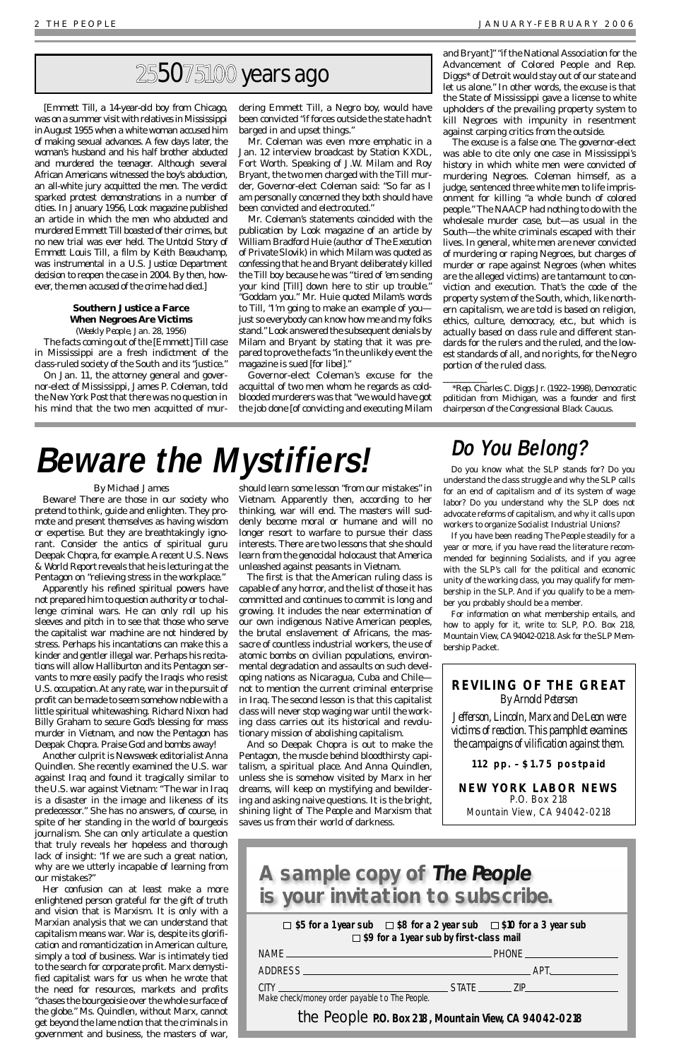### *By Michael James*

Beware! There are those in our society who pretend to think, guide and enlighten. They promote and present themselves as having wisdom or expertise. But they are breathtakingly ignorant. Consider the antics of spiritual guru Deepak Chopra, for example. Arecent *U.S. News & World Report* reveals that he is lecturing at the Pentagon on "relieving stress in the workplace."

Apparently his refined spiritual powers have not prepared him to question authority or to challenge criminal wars. He can only roll up his sleeves and pitch in to see that those who serve the capitalist war machine are not hindered by stress. Perhaps his incantations can make this a kinder and gentler illegal war. Perhaps his recitations will allow Halliburton and its Pentagon servants to more easily pacify the Iraqis who resist U.S. occupation. At any rate, war in the pursuit of profit can be made to seem somehow noble with a little spiritual whitewashing. Richard Nixon had Billy Graham to secure God's blessing for mass murder in Vietnam, and now the Pentagon has Deepak Chopra. Praise God and bombs away!

Another culprit is *Newsweek* editorialist Anna Quindlen. She recently examined the U.S. war against Iraq and found it tragically similar to the U.S. war against Vietnam: "The war in Iraq is a disaster in the image and likeness of its predecessor." She has no answers, of course, in spite of her standing in the world of bourgeois journalism. She can only articulate a question that truly reveals her hopeless and thorough lack of insight: "If we are such a great nation, why are we utterly incapable of learning from our mistakes?" Her confusion can at least make a more enlightened person grateful for the gift of truth and vision that is Marxism. It is only with a Marxian analysis that we can understand that capitalism means war. War is, despite its glorification and romanticization in American culture, simply a tool of business. War is intimately tied to the search for corporate profit. Marx demystified capitalist wars for us when he wrote that the need for resources, markets and profits "chases the bourgeoisie over the whole surface of the globe." Ms. Quindlen, without Marx, cannot get beyond the lame notion that the criminals in government and business, the masters of war,

should learn some lesson "from our mistakes" in Vietnam. Apparently then, according to her thinking, war will end. The masters will suddenly become moral or humane and will no longer resort to warfare to pursue their class interests. There are two lessons that she should learn from the genocidal holocaust that America unleashed against peasants in Vietnam.

The first is that the American ruling class is capable of any horror, and the list of those it has committed and continues to commit is long and growing. It includes the near extermination of our own indigenous Native American peoples, the brutal enslavement of Africans, the massacre of countless industrial workers, the use of atomic bombs on civilian populations, environmental degradation and assaults on such developing nations as Nicaragua, Cuba and Chile not to mention the current criminal enterprise in Iraq. The second lesson is that this capitalist class will never stop waging war until the working class carries out its historical and revolutionary mission of abolishing capitalism.

And so Deepak Chopra is out to make the Pentagon, the muscle behind bloodthirsty capitalism, a spiritual place. And Anna Quindlen, unless she is somehow visited by Marx in her dreams, will keep on mystifying and bewildering and asking naive questions. It is the bright, shining light of *The People* and Marxism that saves us from their world of darkness.

[Emmett Till, a 14-year-old boy from Chicago, was on a summer visit with relatives in Mississippi in August 1955 when a white woman accused him of making sexual advances. A few days later, the woman's husband and his half brother abducted and murdered the teenager. Although several African Americans witnessed the boy's abduction, an all-white jury acquitted the men. The verdict sparked protest demonstrations in a number of cities. In January 1956, *Look* magazine published an article in which the men who abducted and murdered Emmett Till boasted of their crimes, but no new trial was ever held. *The Untold Story of Emmett Louis Till*, a film by Keith Beauchamp, was instrumental in a U.S. Justice Department decision to reopen the case in 2004. By then, however, the men accused of the crime had died.]

### **Southern Justice a Farce When Negroes Are Victims**

(*Weekly People*, Jan. 28, 1956) The facts coming out of the [Emmett] Till case in Mississippi are a fresh indictment of the class-ruled society of the South and its "justice."

On Jan. 11, the attorney general and governor-elect of Mississippi, James P. Coleman, told the *New York Post*that there was no question in his mind that the two men acquitted of mur-

dering Emmett Till, a Negro boy, would have been convicted "if forces outside the state hadn't barged in and upset things."

Mr. Coleman was even more emphatic in a Jan. 12 interview broadcast by Station KXDL, Fort Worth. Speaking of J.W. Milam and Roy Bryant, the two men charged with the Till murder, Governor-elect Coleman said: "So far as I am personally concerned they both should have been convicted and electrocuted."

Mr. Coleman's statements coincided with the publication by *Look* magazine of an article by William Bradford Huie (author of *The Execution of Private Slovik*) in which Milam was quoted as confessing that he and Bryant deliberately killed the Till boy because he was "tired of 'em sending your kind [Till] down here to stir up trouble." "Goddam you." Mr. Huie quoted Milam's words to Till, "I'm going to make an example of you just so everybody can know how me and my folks stand." *Look* answered the subsequent denials by Milam and Bryant by stating that it was prepared to prove the facts "in the unlikely event the magazine is sued [for libel]."

### **A sample copy of The People is your invitation to subscribe.**   $\Box$  \$5 for a 1 year sub  $\Box$  \$8 for a 2 year sub  $\Box$  \$10 for a 3 year sub **\$9 for a 1 year sub by first-class mail** NAME PHONE ADDRESS APT. CITY STATE ZIP Make check/money order payable to The People.

**the People** P.O. Box 218, Mountain View, CA 94042-0218

Governor-elect Coleman's excuse for the acquittal of two men whom he regards as coldblooded murderers was that "we would have got the job done [of convicting and executing Milam

and Bryant]" "if the National Association for the Advancement of Colored People and Rep. Diggs\* of Detroit would stay out of our state and let us alone." In other words, the excuse is that the State of Mississippi gave a license to white upholders of the prevailing property system to kill Negroes with impunity in resentment against carping critics from the outside.

The excuse is a false one. The governor-elect was able to cite only one case in Mississippi's history in which white men were convicted of murdering Negroes. Coleman himself, as a judge, sentenced three white men to life imprisonment for killing "a whole bunch of colored people." The NAACP had nothing to do with the wholesale murder case, but—as usual in the South—the white criminals escaped with their lives. In general, white men are never convicted of murdering or raping Negroes, but charges of murder or rape against Negroes (when whites are the alleged victims) are tantamount to conviction and execution. That's the code of the property system of the South, which, like northern capitalism, we are told is based on religion, ethics, culture, democracy, etc., but which is actually based on class rule and different standards for the rulers and the ruled, and the lowest standards of all, and no rights, for the Negro portion of the ruled class.

\_\_\_\_\_\_\_\_\_\_

\*Rep. Charles C. Diggs Jr. (1922–1998), Democratic politician from Michigan, was a founder and first chairperson of the Congressional Black Caucus.

## 255075100 years ago

# **Beware the Mystifiers!**

### **Do You Belong?**

Do you know what the SLP stands for? Do you understand the class struggle and why the SLP calls for an end of capitalism and of its system of wage labor? Do you understand why the SLP does not advocate reforms of capitalism, and why it calls upon workers to organize Socialist Industrial Unions?

If you have been reading *The People* steadily for a year or more, if you have read the literature recommended for beginning Socialists, and if you agree with the SLP's call for the political and economic unity of the working class, you may qualify for membership in the SLP. And if you qualify to be a member you probably should be a member.

For information on what membership entails, and how to apply for it, write to: SLP, P.O. Box 218, Mountain View, CA94042-0218. Ask for the SLP Membership Packet.

### **REVILING OF THE GREAT** *By Arnold Petersen*

*Jefferson, Lincoln, Marx and De Leon were victims of reaction. This pamphlet examines the campaigns of vilification against them.*

**112 pp. – \$1.75 postpaid**

### **NEW YORK LABOR NEWS** P.O. Box 218 Mountain View, CA 94042-0218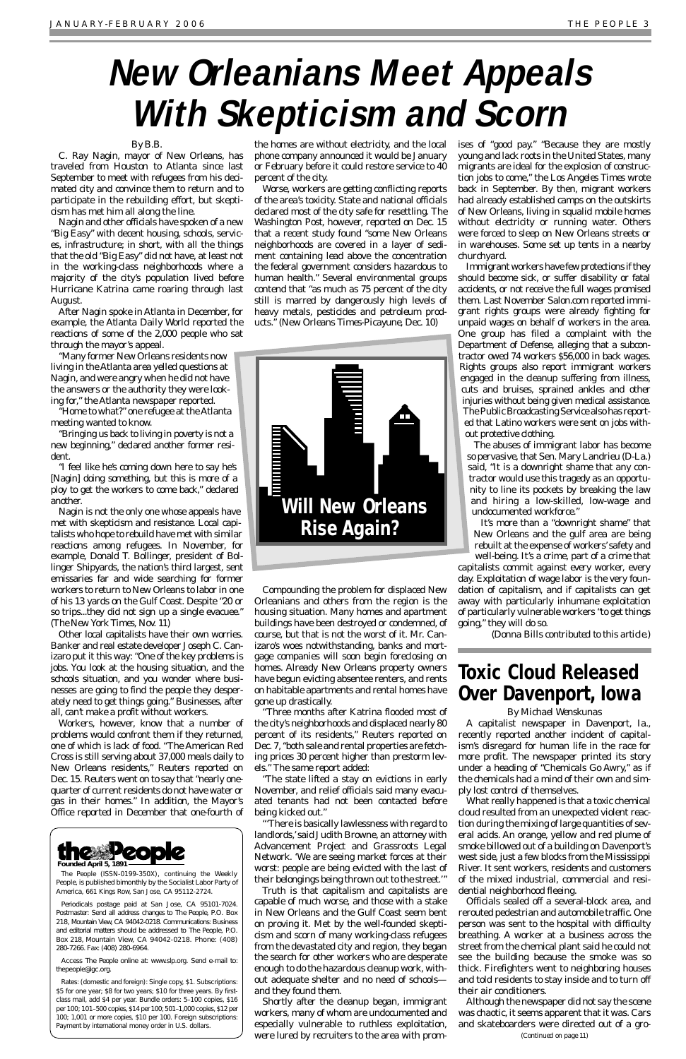### *By B.B.*

C. Ray Nagin, mayor of New Orleans, has traveled from Houston to Atlanta since last September to meet with refugees from his decimated city and convince them to return and to participate in the rebuilding effort, but skepticism has met him all along the line.

Nagin and other officials have spoken of a new "Big Easy" with decent housing, schools, services, infrastructure; in short, with all the things that the old "Big Easy" did not have, at least not in the working-class neighborhoods where a majority of the city's population lived before Hurricane Katrina came roaring through last August.

After Nagin spoke in Atlanta in December, for example, the *Atlanta Daily World* reported the reactions of some of the 2,000 people who sat through the mayor's appeal.

"Many former New Orleans residents now living in the Atlanta area yelled questions at Nagin, and were angry when he did not have the answers or the authority they were looking for," the Atlanta newspaper reported.

"Home to what?" one refugee at the Atlanta meeting wanted to know.

"Bringing us back to living in poverty is not a new beginning," declared another former resident.

"I feel like he's coming down here to say he's [Nagin] doing something, but this is more of a ploy to get the workers to come back," declared another.

Nagin is not the only one whose appeals have met with skepticism and resistance. Local capitalists who hope to rebuild have met with similar reactions among refugees. In November, for example, Donald T. Bollinger, president of Bollinger Shipyards, the nation's third largest, sent emissaries far and wide searching for former workers to return to New Orleans to labor in one of his 13 yards on the Gulf Coast. Despite "20 or so trips...they did not sign up a single evacuee." (*The New York Times*, Nov. 11)

Other local capitalists have their own worries. Banker and real estate developer Joseph C. Canizaro put it this way: "One of the key problems is jobs. You look at the housing situation, and the schools situation, and you wonder where businesses are going to find the people they desperately need to get things going." Businesses, after all, can't make a profit without workers.

> The state lifted a stay on evictions in early November, and relief officials said many evacuated tenants had not been contacted before being kicked out."

Workers, however, know that a number of problems would confront them if they returned, one of which is lack of food. "The American Red Cross is still serving about 37,000 meals daily to New Orleans residents," Reuters reported on Dec. 15. Reuters went on to say that "nearly onequarter of current residents do not have water or gas in their homes." In addition, the Mayor's Office reported in December that one-fourth of

the homes are without electricity, and the local phone company announced it would be January or February before it could restore service to 40 percent of the city.

Worse, workers are getting conflicting reports of the area's toxicity. State and national officials declared most of the city safe for resettling. *The Washington Post*, however, reported on Dec. 15 that a recent study found "some New Orleans neighborhoods are covered in a layer of sediment containing lead above the concentration the federal government considers hazardous to human health." Several environmental groups contend that "as much as 75 percent of the city still is marred by dangerously high levels of heavy metals, pesticides and petroleum products." (New Orleans *Times-Picayune*, Dec. 10)

Compounding the problem for displaced New Orleanians and others from the region is the housing situation. Many homes and apartment buildings have been destroyed or condemned, of course, but that is not the worst of it. Mr. Canizaro's woes notwithstanding, banks and mortgage companies will soon begin foreclosing on homes. Already New Orleans property owners have begun evicting absentee renters, and rents on habitable apartments and rental homes have gone up drastically.

"Three months after Katrina flooded most of the city's neighborhoods and displaced nearly 80 percent of its residents," Reuters reported on Dec. 7, "both sale and rental properties are fetching prices 30 percent higher than prestorm levels." The same report added:

"'There is basically lawlessness with regard to landlords,'said Judith Browne, an attorney with Advancement Project and Grassroots Legal Network. 'We are seeing market forces at their worst: people are being evicted with the last of their belongings being thrown out to the street.'"

Truth is that capitalism and capitalists are capable of much worse, and those with a stake in New Orleans and the Gulf Coast seem bent on proving it. Met by the well-founded skepticism and scorn of many working-class refugees from the devastated city and region, they began the search for other workers who are desperate enough to do the hazardous cleanup work, without adequate shelter and no need of schools and they found them.

Shortly after the cleanup began, immigrant workers, many of whom are undocumented and especially vulnerable to ruthless exploitation, were lured by recruiters to the area with promises of "good pay." "Because they are mostly young and lack roots in the United States, many migrants are ideal for the explosion of construction jobs to come," the *Los Angeles Times* wrote back in September. By then, migrant workers had already established camps on the outskirts of New Orleans, living in squalid mobile homes without electricity or running water. Others were forced to sleep on New Orleans streets or in warehouses. Some set up tents in a nearby churchyard.

Immigrant workers have few protections if they should become sick, or suffer disability or fatal accidents, or not receive the full wages promised them. Last November Salon.com reported immigrant rights groups were already fighting for unpaid wages on behalf of workers in the area. One group has filed a complaint with the Department of Defense, alleging that a subcontractor owed 74 workers \$56,000 in back wages. Rights groups also report immigrant workers engaged in the cleanup suffering from illness, cuts and bruises, sprained ankles and other injuries without being given medical assistance. The Public Broadcasting Service also has reported that Latino workers were sent on jobs without protective clothing.

The abuses of immigrant labor has become so pervasive, that Sen. Mary Landrieu (D-La.) said, "It is a downright shame that any contractor would use this tragedy as an opportunity to line its pockets by breaking the law and hiring a low-skilled, low-wage and undocumented workforce."

It's more than a "downright shame" that New Orleans and the gulf area are being rebuilt at the expense of workers' safety and well-being. It's a crime, part of a crime that

capitalists commit against *every* worker, every day. Exploitation of wage labor is the very foundation of capitalism, and if capitalists can get away with particularly inhumane exploitation of particularly vulnerable workers "to get things going," they will do so.

*(Donna Bills contributed to this article.)*

# **New Orleanians Meet Appeals With Skepticism and Scorn**



*The People* (ISSN-0199-350X), continuing the *Weekly People*, is published bimonthly by the Socialist Labor Party of America, 661 Kings Row, San Jose, CA 95112-2724.

Periodicals postage paid at San Jose, CA 95101-7024. Postmaster: Send all address changes to *The People*, P.O. Box 218, Mountain View, CA 94042-0218. Communications: Business and editorial matters should be addressed to *The People*, P.O. Box 218, Mountain View, CA 94042-0218. Phone: (408) 280-7266. Fax: (408) 280-6964.

Access *The People* online at: www.slp.org. Send e-mail to: thepeople@igc.org.

Rates: (domestic and foreign): Single copy, \$1. Subscriptions: \$5 for one year; \$8 for two years; \$10 for three years. By firstclass mail, add \$4 per year. Bundle orders: 5–100 copies, \$16 per 100; 101–500 copies, \$14 per 100; 501–1,000 copies, \$12 per 100; 1,001 or more copies, \$10 per 100. Foreign subscriptions: Payment by international money order in U.S. dollars.



*By Michael Wenskunas*

A capitalist newspaper in Davenport, Ia., recently reported another incident of capitalism's disregard for human life in the race for more profit. The newspaper printed its story under a heading of "Chemicals Go Awry," as if the chemicals had a mind of their own and simply lost control of themselves. What really happened is that a toxic chemical cloud resulted from an unexpected violent reaction during the mixing of large quantities of several acids. An orange, yellow and red plume of smoke billowed out of a building on Davenport's west side, just a few blocks from the Mississippi River. It sent workers, residents and customers of the mixed industrial, commercial and residential neighborhood fleeing. Officials sealed off a several-block area, and rerouted pedestrian and automobile traffic. One person was sent to the hospital with difficulty breathing. A worker at a business across the street from the chemical plant said he could not see the building because the smoke was so thick. Firefighters went to neighboring houses and told residents to stay inside and to turn off their air conditioners.

Although the newspaper did not say the scene was chaotic, it seems apparent that it was. Cars and skateboarders were directed out of a gro-

### **Toxic Cloud Released Over Davenport, Iowa**

*(Continued on page 11)*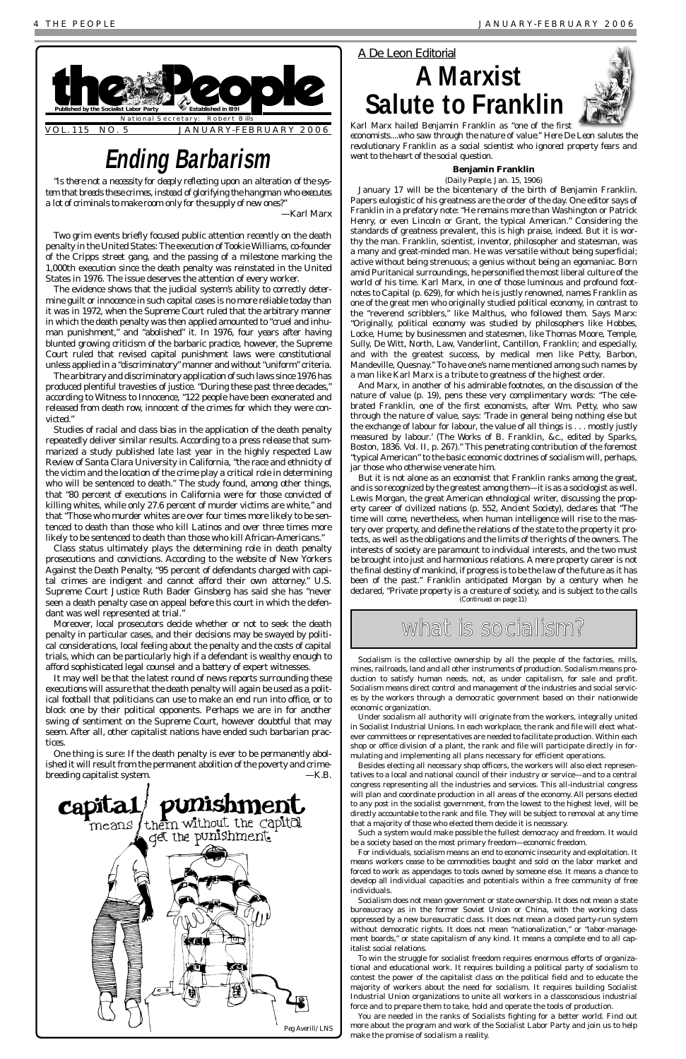### **Benjamin Franklin**

(*Daily People*, Jan. 15, 1906)

January 17 will be the bicentenary of the birth of Benjamin Franklin. Papers eulogistic of his greatness are the order of the day. One editor says of Franklin in a prefatory note: "He remains more than Washington or Patrick Henry, or even Lincoln or Grant, the typical American." Considering the standards of greatness prevalent, this is high praise, indeed. But it is worthy the man. Franklin, scientist, inventor, philosopher and statesman, was a many and great-minded man. He was versatile without being superficial; active without being strenuous; a genius without being an egomaniac. Born amid Puritanical surroundings, he personified the most liberal culture of the world of his time. Karl Marx, in one of those luminous and profound footnotes to *Capital* (p. 629), for which he is justly renowned, names Franklin as one of the great men who originally studied political economy, in contrast to the "reverend scribblers," like Malthus, who followed them. Says Marx: "Originally, political economy was studied by philosophers like Hobbes, Locke, Hume; by businessmen and statesmen, like Thomas Moore, Temple, Sully, De Witt, North, Law, Vanderlint, Cantillon, Franklin; and especially, and with the greatest success, by medical men like Petty, Barbon, Mandeville, Quesnay." To have one's name mentioned among such names by a man like Karl Marx is a tribute to greatness of the highest order.

And Marx, in another of his admirable footnotes, on the discussion of the nature of value (p. 19), pens these very complimentary words: "The celebrated Franklin, one of the first economists, after Wm. Petty, who saw through the nature of value, says: 'Trade in general being nothing else but the exchange of labour for labour, the value of all things is . . . mostly justly measured by labour.' (*The Works of B. Franklin*, &c., edited by Sparks, Boston, 1836. Vol. II, p. 267)." This penetrating contribution of the foremost "typical American" to the basic economic doctrines of socialism will, perhaps, jar those who otherwise venerate him.

### *A De Leon Editorial*

## **A Marxist Salute to Franklin**



*Karl Marx hailed Benjamin Franklin as "one of the first economists....who saw through the nature of value." Here De Leon salutes the revolutionary Franklin as a social scientist who ignored property fears and went to the heart of the social question.*

*"Is there not a necessity for deeply reflecting upon an alteration of the system that breeds these crimes, instead of glorifying the hangman who executes a lot of criminals to make room only for the supply of new ones?"* 

*—Karl Marx*

Two grim events briefly focused public attention recently on the death penalty in the United States: The execution of Tookie Williams, co-founder of the Cripps street gang, and the passing of a milestone marking the 1,000th execution since the death penalty was reinstated in the United States in 1976. The issue deserves the attention of every worker.

The evidence shows that the judicial system's ability to correctly determine guilt or innocence in such capital cases is no more reliable today than it was in 1972, when the Supreme Court ruled that the arbitrary manner in which the death penalty was then applied amounted to "cruel and inhuman punishment," and "abolished" it. In 1976, four years after having blunted growing criticism of the barbaric practice, however, the Supreme Court ruled that revised capital punishment laws were constitutional unless applied in a "discriminatory" manner and without "uniform" criteria.

The arbitrary and discriminatory application of such laws since 1976 has produced plentiful travesties of justice. "During these past three decades," according to Witness to Innocence, "122 people have been exonerated and released from death row, innocent of the crimes for which they were convicted."



Studies of racial and class bias in the application of the death penalty repeatedly deliver similar results. According to a press release that summarized a study published late last year in the highly respected *Law Review* of Santa Clara University in California, "the race and ethnicity of the victim and the location of the crime play a critical role in determining who will be sentenced to death." The study found, among other things, that "80 percent of executions in California were for those convicted of killing whites, while only 27.6 percent of murder victims are white," and that "Those who murder whites are over four times more likely to be sentenced to death than those who kill Latinos and over three times more likely to be sentenced to death than those who kill African-Americans."

Class status ultimately plays the determining role in death penalty prosecutions and convictions. According to the website of New Yorkers Against the Death Penalty, "95 percent of defendants charged with capital crimes are indigent and cannot afford their own attorney." U.S. Supreme Court Justice Ruth Bader Ginsberg has said she has "never seen a death penalty case on appeal before this court in which the defendant was well represented at trial."

But it is not alone as an economist that Franklin ranks among the great, and is so recognized by the greatest among them—it is as a sociologist as well. Lewis Morgan, the great American ethnological writer, discussing the property career of civilized nations (p. 552, *Ancient Society*), declares that "The time will come, nevertheless, when human intelligence will rise to the mastery over property, and define the relations of the state to the property it protects, as well as the obligations and the limits of the rights of the owners. The interests of society are paramount to individual interests, and the two must be brought into just and harmonious relations. A mere property career is not the final destiny of mankind, if progress is to be the law of the future as it has been of the past." Franklin anticipated Morgan by a century when he declared, "Private property is a creature of society, and is subject to the calls *(Continued on page 11)*

what is socialism?

Moreover, local prosecutors decide whether or not to seek the death penalty in particular cases, and their decisions may be swayed by political considerations, local feeling about the penalty and the costs of capital trials, which can be particularly high if a defendant is wealthy enough to afford sophisticated legal counsel and a battery of expert witnesses.

It may well be that the latest round of news reports surrounding these executions will assure that the death penalty will again be used as a political football that politicians can use to make an end run into office, or to block one by their political opponents. Perhaps we are in for another swing of sentiment on the Supreme Court, however doubtful that may seem. After all, other capitalist nations have ended such barbarian practices.

One thing is sure: If the death penalty is ever to be *permanently* abolished it will result from the permanent abolition of the poverty and crimebreeding capitalist system. *—K.B.*

## **Ending Barbarism**

Socialism is the collective ownership by all the people of the factories, mills, mines, railroads, land and all other instruments of production. Socialism means production to satisfy human needs, not, as under capitalism, for sale and profit. Socialism means direct control and management of the industries and social services by the workers through a democratic government based on their nationwide economic organization.

Under socialism all authority will originate from the workers, integrally united in Socialist Industrial Unions. In each workplace, the rank and file will elect whatever committees or representatives are needed to facilitate production. Within each shop or office division of a plant, the rank and file will participate directly in formulating and implementing all plans necessary for efficient operations.

Besides electing all necessary shop officers, the workers will also elect representatives to a local and national council of their industry or service—and to a central congress representing all the industries and services. This all-industrial congress will plan and coordinate production in all areas of the economy. All persons elected to any post in the socialist government, from the lowest to the highest level, will be directly accountable to the rank and file. They will be subject to removal at any time that a majority of those who elected them decide it is necessary.

Such a system would make possible the fullest democracy and freedom. It would be a society based on the most primary freedom—economic freedom.

For individuals, socialism means an end to economic insecurity and exploitation. It means workers cease to be commodities bought and sold on the labor market and forced to work as appendages to tools owned by someone else. It means a chance to develop all individual capacities and potentials within a free community of free individuals.

Socialism does not mean government or state ownership. It does not mean a state bureaucracy as in the former Soviet Union or China, with the working class oppressed by a new bureaucratic class. It does not mean a closed party-run system without democratic rights. It does not mean "nationalization," or "labor-management boards," or state capitalism of any kind. It means a complete end to all capitalist social relations.

To win the struggle for socialist freedom requires enormous efforts of organizational and educational work. It requires building a political party of socialism to contest the power of the capitalist class on the political field and to educate the majority of workers about the need for socialism. It requires building Socialist Industrial Union organizations to unite all workers in a classconscious industrial force and to prepare them to take, hold and operate the tools of production.

You are needed in the ranks of Socialists fighting for a better world. Find out more about the program and work of the Socialist Labor Party and join us to help make the promise of socialism a reality.

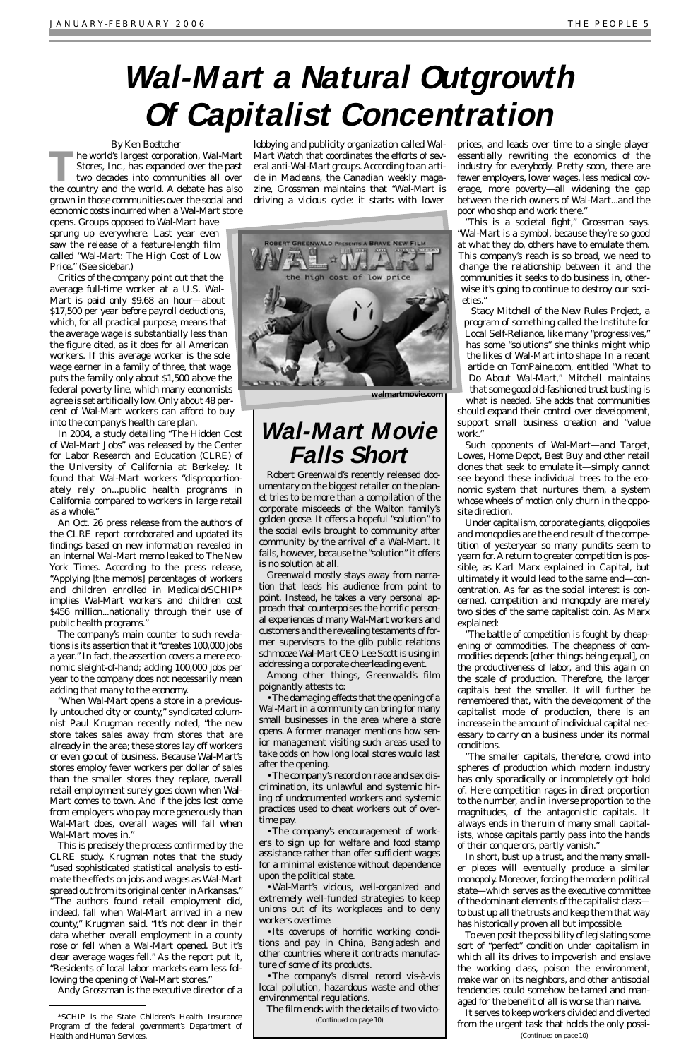### *By Ken Boettcher*

**The world's largest corporation, Wal-Mart**<br>Stores, Inc., has expanded over the past<br>two decades into communities all over<br>the country and the world. A debate has also Stores, Inc., has expanded over the past two decades into communities all over the country and the world. A debate has also grown in those communities over the social and economic costs incurred when a Wal-Mart store

opens. Groups opposed to Wal-Mart have sprung up everywhere. Last year even saw the release of a feature-length film called "Wal-Mart: The High Cost of Low Price." (See sidebar.)

Critics of the company point out that the average full-time worker at a U.S. Wal-Mart is paid only \$9.68 an hour—about \$17,500 per year before payroll deductions, which, for all practical purpose, means that the average wage is substantially less than the figure cited, as it does for all American workers. If this average worker is the sole wage earner in a family of three, that wage puts the family only about \$1,500 above the federal poverty line, which many economists agree is set artificially low. Only about 48 percent of Wal-Mart workers can afford to buy into the company's health care plan.

In 2004, a study detailing "The Hidden Cost of Wal-Mart Jobs" was released by the Center for Labor Research and Education (CLRE) of the University of California at Berkeley. It found that Wal-Mart workers "disproportionately rely on...public health programs in California compared to workers in large retail as a whole."

An Oct. 26 press release from the authors of the CLRE report corroborated and updated its findings based on new information revealed in an internal Wal-Mart memo leaked to *The New York Times*. According to the press release, "Applying [the memo's] percentages of workers and children enrolled in Medicaid/SCHIP\* implies Wal-Mart workers and children cost \$456 million...nationally through their use of public health programs."

The company's main counter to such revelations is its assertion that it "creates 100,000 jobs a year." In fact, the assertion covers a mere economic sleight-of-hand; adding 100,000 jobs per year to the company does not necessarily mean adding that many to the economy.

"When Wal-Mart opens a store in a previously untouched city or county," syndicated columnist Paul Krugman recently noted, "the new store takes sales away from stores that are already in the area; these stores lay off workers or even go out of business. Because Wal-Mart's stores employ fewer workers per dollar of sales than the smaller stores they replace, overall retail employment surely goes down when Wal-Mart comes to town. And if the jobs lost come from employers who pay more generously than Wal-Mart does, overall wages will fall when Wal-Mart moves in." This is precisely the process confirmed by the CLRE study. Krugman notes that the study "used sophisticated statistical analysis to estimate the effects on jobs and wages as Wal-Mart spread out from its original center in Arkansas." "The authors found retail employment did, indeed, fall when Wal-Mart arrived in a new county," Krugman said. "It's not clear in their data whether overall employment in a county rose or fell when a Wal-Mart opened. But it's clear average wages fell." As the report put it, "Residents of local labor markets earn less following the opening of Wal-Mart stores."

Andy Grossman is the executive director of a

lobbying and publicity organization called Wal-Mart Watch that coordinates the efforts of several anti-Wal-Mart groups. According to an article in *Macleans*, the Canadian weekly magazine, Grossman maintains that "Wal-Mart is driving a vicious cycle: it starts with lower

prices, and leads over time to a single player essentially rewriting the economics of the industry for everybody. Pretty soon, there are fewer employers, lower wages, less medical coverage, more poverty—all widening the gap between the rich owners of Wal-Mart...and the poor who shop and work there."

"This is a societal fight," Grossman says. "Wal-Mart is a symbol, because they're so good at what they do, others have to emulate them. This company's reach is so broad, we need to change the relationship between it and the communities it seeks to do business in, otherwise it's going to continue to destroy our societies."

Stacy Mitchell of the New Rules Project, a program of something called the Institute for Local Self-Reliance, like many "progressives," has some "solutions" she thinks might whip the likes of Wal-Mart into shape. In a recent article on TomPaine.com, entitled "What to Do About Wal-Mart," Mitchell maintains that some good old-fashioned trust busting is

what is needed. She adds that communities should expand their control over development, support small business creation and "value work."

Such opponents of Wal-Mart—and Target, Lowes, Home Depot, Best Buy and other retail clones that seek to emulate it—simply cannot see beyond these individual trees to the economic system that nurtures them, a system whose wheels of motion only churn in the opposite direction.

Under capitalism, corporate giants, oligopolies and monopolies are the end result of the competition of yesteryear so many pundits seem to yearn for. A return to greater competition is possible, as Karl Marx explained in *Capital*, but ultimately it would lead to the same end—concentration. As far as the social interest is concerned, competition and monopoly are merely two sides of the same capitalist coin. As Marx explained:

"The battle of competition is fought by cheapening of commodities. The cheapness of commodities depends [other things being equal], on the productiveness of labor, and this again on the scale of production. Therefore, the larger capitals beat the smaller. It will further be remembered that, with the development of the capitalist mode of production, there is an increase in the amount of individual capital necessary to carry on a business under its normal conditions.

"The smaller capitals, therefore, crowd into spheres of production which modern industry has only sporadically or incompletely got hold of. Here competition rages in direct proportion to the number, and in inverse proportion to the magnitudes, of the antagonistic capitals. It always ends in the ruin of many small capitalists, whose capitals partly pass into the hands of their conquerors, partly vanish." In short, bust up a trust, and the many smaller pieces will eventually produce a similar monopoly. Moreover, forcing the modern political state—which serves as the executive committee of the dominant elements of the capitalist class to bust up all the trusts and keep them that way has historically proven all but impossible. To even posit the possibility of legislating some sort of "perfect" condition under capitalism in which all its drives to impoverish and enslave the working class, poison the environment, make war on its neighbors, and other antisocial tendencies could somehow be tamed and managed for the benefit of all is worse than naïve. It serves to keep workers divided and diverted from the urgent task that holds the only possi-

Robert Greenwald's recently released documentary on the biggest retailer on the planet tries to be more than a compilation of the corporate misdeeds of the Walton family's golden goose. It offers a hopeful "solution" to the social evils brought to community after community by the arrival of a Wal-Mart. It fails, however, because the "solution" it offers is no solution at all.

Greenwald mostly stays away from narration that leads his audience from point to point. Instead, he takes a very personal approach that counterpoises the horrific personal experiences of many Wal-Mart workers and customers and the revealing testaments of former supervisors to the glib public relations schmooze Wal-Mart CEO Lee Scott is using in addressing a corporate cheerleading event.

Among other things, Greenwald's film poignantly attests to:

•The damaging effects that the opening of a Wal-Mart in a community can bring for many small businesses in the area where a store opens. A former manager mentions how senior management visiting such areas used to take odds on how long local stores would last after the opening.

•The company's record on race and sex discrimination, its unlawful and systemic hiring of undocumented workers and systemic practices used to cheat workers out of overtime pay. •The company's encouragement of workers to sign up for welfare and food stamp assistance rather than offer sufficient wages for a minimal existence without dependence upon the political state. •Wal-Mart's vicious, well-organized and extremely well-funded strategies to keep unions out of its workplaces and to deny workers overtime. •Its coverups of horrific working conditions and pay in China, Bangladesh and other countries where it contracts manufacture of some of its products.

•The company's dismal record vis-à-vis local pollution, hazardous waste and other environmental regulations.

The film ends with the details of two victo-

# **Wal-Mart a Natural Outgrowth Of Capitalist Concentration**



**walmartmovie.com**

*(Continued on page 10)*

*(Continued on page 10)*

### **Wal-Mart Movie Falls Short**

### \*SCHIP is the State Children's Health Insurance Program of the federal government's Department of Health and Human Services.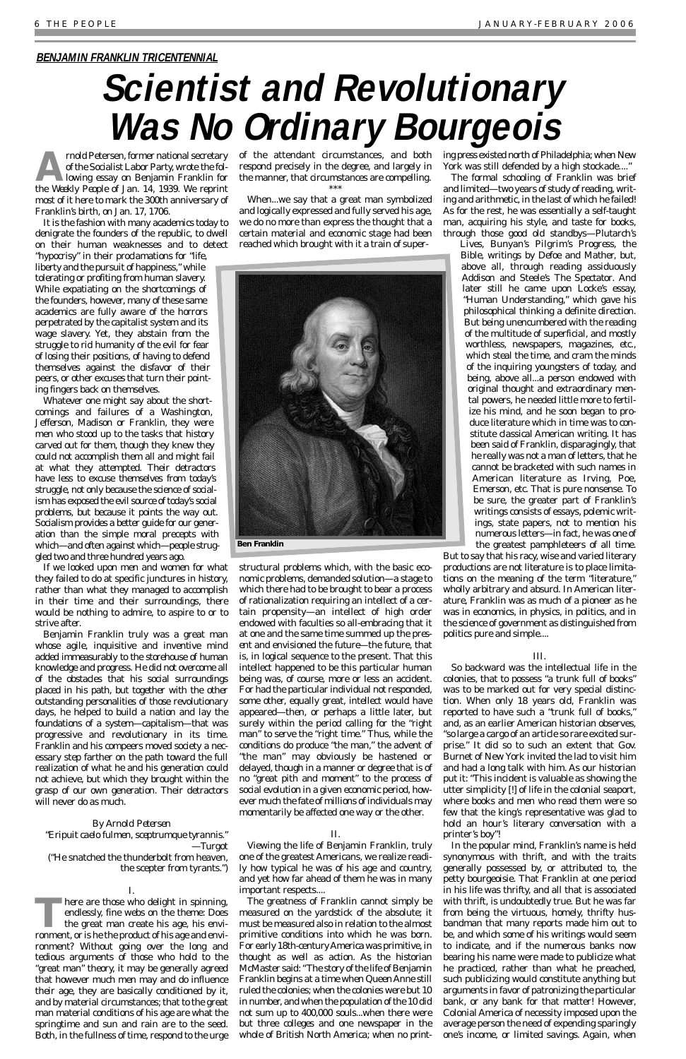**Armold Petersen, former national secretary<br>of the Socialist Labor Party, wrote the fol-<br>lowing essay on Benjamin Franklin for<br>the Weekly Beaple of Jan 14, 1929. We reprint** of the Socialist Labor Party, wrote the following essay on Benjamin Franklin for the *Weekly People* of Jan. 14, 1939. We reprint most of it here to mark the 300th anniversary of Franklin's birth, on Jan. 17, 1706.

It is the fashion with many academics today to denigrate the founders of the republic, to dwell on their human weaknesses and to detect

"hypocrisy" in their proclamations for "life, liberty and the pursuit of happiness," while tolerating or profiting from human slavery. While expatiating on the shortcomings of the founders, however, many of these same academics are fully aware of the horrors perpetrated by the capitalist system and its wage slavery. Yet, they abstain from the struggle to rid humanity of the evil for fear of losing their positions, of having to defend themselves against the disfavor of their peers, or other excuses that turn their pointing fingers back on themselves.

Whatever one might say about the shortcomings and failures of a Washington, Jefferson, Madison or Franklin, they were men who stood up to the tasks that history carved out for them, though they knew they could not accomplish them all and might fail at what they attempted. Their detractors have less to excuse themselves from today's struggle, not only because the science of socialism has exposed the evil source of today's social problems, but because it points the way out. Socialism provides a better guide for our generation than the simple moral precepts with which—and often against which—people struggled two and three hundred years ago.

If we looked upon men and women for what they failed to do at specific junctures in history, rather than what they managed to accomplish in their time and their surroundings, there would be nothing to admire, to aspire to or to strive after.

Benjamin Franklin truly was a great man whose agile, inquisitive and inventive mind added immeasurably to the storehouse of human knowledge and progress. He did not overcome all of the obstacles that his social surroundings placed in his path, but together with the other outstanding personalities of those revolutionary days, he helped to build a nation and lay the foundations of a system—capitalism—that was progressive and revolutionary in its time. Franklin and his compeers moved society a necessary step farther on the path toward the full realization of what he and his generation could not achieve, but which they brought within the grasp of our own generation. Their detractors will never do as much.

*By Arnold Petersen* "*Eripuit caelo fulmen, sceptrumque tyrannis*." —Turgot ("He snatched the thunderbolt from heaven, the scepter from tyrants.") ing press existed north of Philadelphia; when New York was still defended by a high stockade...."

I. **There are those who delight in spinning,** endlessly, fine webs on the theme: Does the great man create his age, his environment, or is he the product of his age and environment? Without going over the long and tedious arguments of those who hold to the "great man" theory, it may be generally agreed that however much men may and do influence their age, they are basically conditioned by it, and by material circumstances; that to the great man material conditions of his age are what the springtime and sun and rain are to the seed. Both, in the fullness of time, respond to the urge of the attendant circumstances, and both respond precisely in the degree, and largely in the manner, that circumstances are compelling. \*\*\*

When...we say that a great man symbolized and logically expressed and fully served his age, we do no more than express the thought that a certain material and economic stage had been reached which brought with it a train of super-



structural problems which, with the basic economic problems, demanded solution—a stage to which there had to be brought to bear a process of rationalization requiring an intellect of a certain propensity—an intellect of high order endowed with faculties so all-embracing that it at one and the same time summed up the *present* and envisioned the *future*—the future, that is, in logical sequence to the present. That this intellect happened to be *this* particular human being was, of course, more or less an accident. For had the particular individual not responded, some other, equally great, intellect would have appeared—then, or perhaps a little later, but surely within the period calling for the "right man" to serve the "right time." Thus, while the conditions do produce "the man," the advent of "the man" may obviously be hastened or delayed, though in a manner or degree that is of no "great pith and moment" to the process of social evolution in a given economic period, however much the fate of millions of individuals may momentarily be affected one way or the other.

### II.

Viewing the life of Benjamin Franklin, truly one of the greatest Americans, we realize readily how typical he was of his age and country, and yet how far ahead of them he was in many important respects....

The greatness of Franklin cannot simply be measured on the yardstick of the absolute; it must be measured also in relation to the almost primitive conditions into which he was born. For early 18th-century America was primitive, in thought as well as action. As the historian McMaster said: "The story of the life of Benjamin Franklin begins at a time when Queen Anne still ruled the colonies; when the colonies were but 10 in number, and when the population of the 10 did not sum up to 400,000 souls...when there were but three colleges and one newspaper in the whole of British North America; when no print-

The formal schooling of Franklin was brief and limited—two years of study of reading, writing and arithmetic, in the last of which he failed! As for the rest, he was essentially a self-taught man, acquiring his style, and taste for books, through those good old standbys—Plutarch's

*Lives*, Bunyan's *Pilgrim's Progress*, the Bible, writings by Defoe and Mather, but, above all, through reading assiduously Addison and Steele's *The Spectator*. And later still he came upon Locke's essay, "Human Understanding," which gave his philosophical thinking a definite direction. But being unencumbered with the reading of the multitude of superficial, and mostly worthless, newspapers, magazines, etc., which steal the time, and cram the minds of the inquiring youngsters of today, and being, above all...a person endowed with original thought and extraordinary mental powers, he needed little more to fertilize his mind, and he soon began to produce literature which in time was to constitute classical American writing. It has been said of Franklin, disparagingly, that he really was not a man of letters, that he cannot be bracketed with such names in American literature as Irving, Poe, Emerson, etc. That is pure nonsense. To be sure, the greater part of Franklin's writings consists of essays, polemic writings, state papers, not to mention his numerous letters—in fact, he was one of the greatest pamphleteers of all time.

But to say that his racy, wise and varied literary productions are not literature is to place limitations on the meaning of the term "literature," wholly arbitrary and absurd. In American literature, Franklin was as much of a pioneer as he was in economics, in physics, in politics, and in the science of government as distinguished from politics pure and simple....

### III.

So backward was the intellectual life in the colonies, that to possess "a trunk full of books" was to be marked out for very special distinction. When only 18 years old, Franklin was reported to have such a "trunk full of books," and, as an earlier American historian observes, "so large a cargo of an article so rare excited surprise." It did so to such an extent that Gov. Burnet of New York invited the lad to visit him and had a long talk with him. As our historian put it: "This incident is valuable as showing the utter simplicity [!] of life in the colonial seaport, where books and men who read them were so few that the king's representative was glad to hold an hour's literary conversation with a printer's boy"! In the popular mind, Franklin's name is held synonymous with thrift, and with the traits generally possessed by, or attributed to, the petty bourgeoisie. That Franklin at one period in his life was thrifty, and all that is associated with thrift, is undoubtedly true. But he was far from being the virtuous, homely, thrifty husbandman that many reports made him out to be, and which some of his writings would seem to indicate, and if the numerous banks now bearing his name were made to publicize what he practiced, rather than what he preached, such publicizing would constitute anything but arguments in favor of patronizing the particular bank, or any bank for that matter! However, Colonial America of necessity imposed upon the average person the need of expending sparingly one's income, or limited savings. Again, when

### **BENJAMIN FRANKLIN TRICENTENNIAL**

# **Scientist and Revolutionary Was No Ordinary Bourgeois**

**Ben Franklin**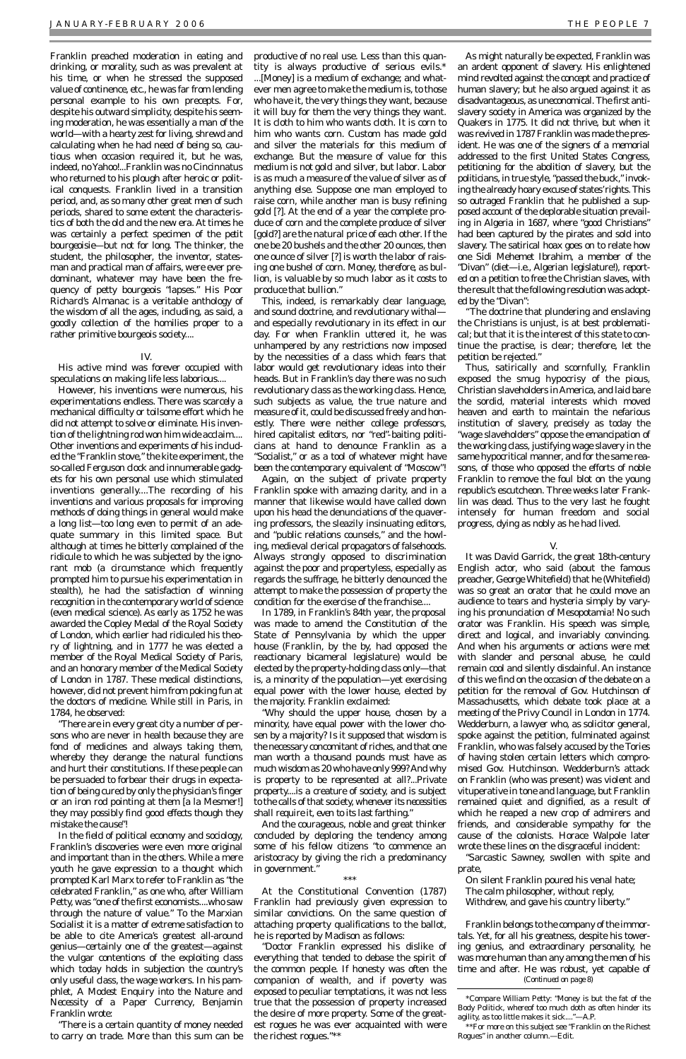Franklin preached moderation in eating and drinking, or morality, such as was prevalent at his time, or when he stressed the supposed value of continence, etc., he was far from lending personal example to his own precepts. For, despite his outward simplicity, despite his seeming moderation, he was essentially a man of the world—with a hearty zest for living, shrewd and calculating when he had need of being so, cautious when occasion required it, but he was, indeed, no Yahoo!...Franklin was no Cincinnatus who returned to his plough after heroic or political conquests. Franklin lived in a transition period, and, as so many other great men of such periods, shared to some extent the characteristics of both the old and the new era. At times he was certainly a perfect specimen of the *petit bourgeoisie*—but not for long. The thinker, the student, the philosopher, the inventor, statesman and practical man of affairs, were ever predominant, whatever may have been the frequency of petty bourgeois "lapses." His *Poor Richard's Almanac* is a veritable anthology of the wisdom of all the ages, including, as said, a goodly collection of the homilies proper to a rather primitive bourgeois society....

### IV.

His active mind was forever occupied with speculations on making life less laborious....

However, his inventions were numerous, his experimentations endless. There was scarcely a mechanical difficulty or toilsome effort which he did not attempt to solve or eliminate. His invention of the lightning rod won him wide acclaim.... Other inventions and experiments of his included the "Franklin stove," the kite experiment, the so-called Ferguson clock and innumerable gadgets for his own personal use which stimulated inventions generally....The recording of his inventions and various proposals for improving methods of doing things in general would make a long list—too long even to permit of an adequate summary in this limited space. But although at times he bitterly complained of the ridicule to which he was subjected by the ignorant mob (a circumstance which frequently prompted him to pursue his experimentation in stealth), he had the satisfaction of winning recognition in the contemporary world of science (even medical science). As early as 1752 he was awarded the Copley Medal of the Royal Society of London, which earlier had ridiculed his theory of lightning, and in 1777 he was elected a member of the Royal Medical Society of Paris, and an honorary member of the Medical Society of London in 1787. These medical distinctions, however, did not prevent him from poking fun at the doctors of medicine. While still in Paris, in 1784, he observed:

"There are in every great city a number of persons who are never in health because they are fond of medicines and always taking them, whereby they derange the natural functions and hurt their constitutions. If these people can be persuaded to forbear their drugs in expectation of being cured by only the physician's finger or an iron rod pointing at them [a la Mesmer!] *they may possibly find good effects though they mistake the cause"!* In the field of political economy and sociology, Franklin's discoveries were even more original and important than in the others. While a mere youth he gave expression to a thought which prompted Karl Marx to refer to Franklin as "the celebrated Franklin," as one who, after William Petty, was "one of the first economists....who saw through the nature of value." To the Marxian Socialist it is a matter of extreme satisfaction to be able to cite America's greatest all-around genius—certainly one of the greatest—against the vulgar contentions of the exploiting class which today holds in subjection the country's only useful class, the wage workers. In his pamphlet, *A Modest Enquiry into the Nature and Necessity of a Paper Currency*, Benjamin Franklin wrote:

"Why should the upper house, chosen by a minority, have equal power with the lower chosen by a majority? Is it supposed that wisdom is the necessary concomitant of riches, and that one man worth a thousand pounds must have as much wisdom as 20 who have only 999? And why is property to be represented at all?...Private property....is a creature of society, and is subject to the calls of that society, *whenever its necessities shall require it, even to its last farthing*." And the courageous, noble and great thinker concluded by deploring the tendency among some of his fellow citizens "to commence an aristocracy by giving the rich a predominancy in government.'

"There is a certain quantity of money needed to carry on trade. More than this sum can be

productive of no real use. Less than this quantity is always productive of serious evils.\* ...[Money] is a medium of exchange; and whatever men agree to make the medium is, to those who have it, the very things they want, because it will buy for them the very things they want. It is cloth to him who wants cloth. It is corn to him who wants corn. Custom has made gold and silver the materials for this medium of exchange. *But the measure of value for this medium is not gold and silver, but labor.* Labor is as much a measure of the value of silver as of anything else. Suppose one man employed to raise corn, while another man is busy refining gold [?]. At the end of a year the complete produce of corn and the complete produce of silver [gold?] are the natural price of each other. If the one be 20 bushels and the other 20 ounces, then one ounce of silver [?] is worth the labor of raising one bushel of corn. *Money, therefore, as bullion, is valuable by so much labor as it costs to produce that bullion.*"

This, indeed, is remarkably clear language, and sound doctrine, and revolutionary withal and especially revolutionary in its effect in our day. For when Franklin uttered it, he was unhampered by any restrictions now imposed by the necessities of a class which fears that labor would get revolutionary ideas into their heads. But in Franklin's day there was no such revolutionary class as the working class. Hence, such subjects as value, the true nature and measure of it, could be discussed freely and honestly. There were neither college professors, hired capitalist editors, nor "red"-baiting politicians at hand to denounce Franklin as a "Socialist," or as a tool of whatever might have been the contemporary equivalent of "Moscow"!

Again, on the subject of private property Franklin spoke with amazing clarity, and in a manner that likewise would have called down upon his head the denunciations of the quavering professors, the sleazily insinuating editors, and "public relations counsels," and the howling, medieval clerical propagators of falsehoods. Always strongly opposed to discrimination against the poor and propertyless, especially as regards the suffrage, he bitterly denounced the attempt to make the possession of property the condition for the exercise of the franchise....

In 1789, in Franklin's 84th year, the proposal was made to amend the Constitution of the State of Pennsylvania by which the upper house (Franklin, by the by, had opposed the reactionary bicameral legislature) would be elected by the property-holding class only—that is, a minority of the population—yet exercising equal power with the lower house, elected by the majority. Franklin exclaimed:

#### \*\*\*

At the Constitutional Convention (1787) Franklin had previously given expression to similar convictions. On the same question of attaching property qualifications to the ballot, he is reported by Madison as follows:

"Doctor Franklin expressed his dislike of everything that tended to debase the spirit of the common people. If honesty was often the companion of wealth, and if poverty was exposed to peculiar temptations, it was not less true that the possession of property increased the desire of more property. Some of the greatest rogues he was ever acquainted with were the richest rogues."\*\*

As might naturally be expected, Franklin was an ardent opponent of slavery. His enlightened mind revolted against the concept and practice of human slavery; but he also argued against it as disadvantageous, as uneconomical. The first antislavery society in America was organized by the Quakers in 1775. It did not thrive, but when it was revived in 1787 Franklin was made the president. He was one of the signers of a memorial addressed to the first United States Congress, petitioning for the abolition of slavery, but the politicians, in true style, "passed the buck," invoking the already hoary excuse of states'rights. This so outraged Franklin that he published a supposed account of the deplorable situation prevailing in Algeria in 1687, where "good Christians" had been captured by the pirates and sold into slavery. The satirical hoax goes on to relate how one Sidi Mehemet Ibrahim, a member of the "Divan" (diet—i.e., Algerian legislature!), reported on a petition to free the Christian slaves, with the result that the following resolution was adopted by the "Divan":

"The doctrine that plundering and enslaving the Christians is unjust, is at best problematical; but that it is the interest of this state to continue the practise, is clear; therefore, let the petition be rejected."

Thus, satirically and scornfully, Franklin exposed the smug hypocrisy of the pious, Christian slaveholders in America, and laid bare the sordid, material interests which moved heaven and earth to maintain the nefarious institution of slavery, precisely as today the "wage slaveholders" oppose the emancipation of the working class, justifying wage slavery in the same hypocritical manner, and for the same reasons, of those who opposed the efforts of noble Franklin to remove the foul blot on the young republic's escutcheon. Three weeks later Franklin was dead. Thus to the very last he fought intensely for human freedom and social progress, dying as nobly as he had lived.

### V.

It was David Garrick, the great 18th-century English actor, who said (about the famous preacher, George Whitefield) that he (Whitefield) was so great an orator that he could move an audience to tears and hysteria simply by varying his pronunciation of Mesopotamia! No such orator was Franklin. His speech was simple, direct and logical, and invariably convincing. And when his arguments or actions were met with slander and personal abuse, he could remain cool and silently disdainful. An instance of this we find on the occasion of the debate on a petition for the removal of Gov. Hutchinson of Massachusetts, which debate took place at a meeting of the Privy Council in London in 1774. Wedderburn, a lawyer who, as solicitor general, spoke against the petition, fulminated against Franklin, who was falsely accused by the Tories of having stolen certain letters which compromised Gov. Hutchinson. Wedderburn's attack

on Franklin (who was present) was violent and vituperative in tone and language, but Franklin remained quiet and dignified, as a result of which he reaped a new crop of admirers and friends, and considerable sympathy for the cause of the colonists. Horace Walpole later wrote these lines on the disgraceful incident:

"Sarcastic Sawney, swollen with spite and prate,

On silent Franklin poured his venal hate; The calm philosopher, without reply, Withdrew, and gave his country liberty."

Franklin belongs to the company of the immortals. Yet, for all his greatness, despite his towering genius, and extraordinary personality, he was more human than any among the men of his time and after. He was robust, yet capable of *(Continued on page 8)*

<sup>\*</sup>Compare William Petty: "Money is but the fat of the Body Politick, whereof too much doth as often hinder its agility, as too little makes it sick...."—*A.P.*

<sup>\*\*</sup>For more on this subject see "Franklin on the Richest Rogues" in another column.—*Edit*.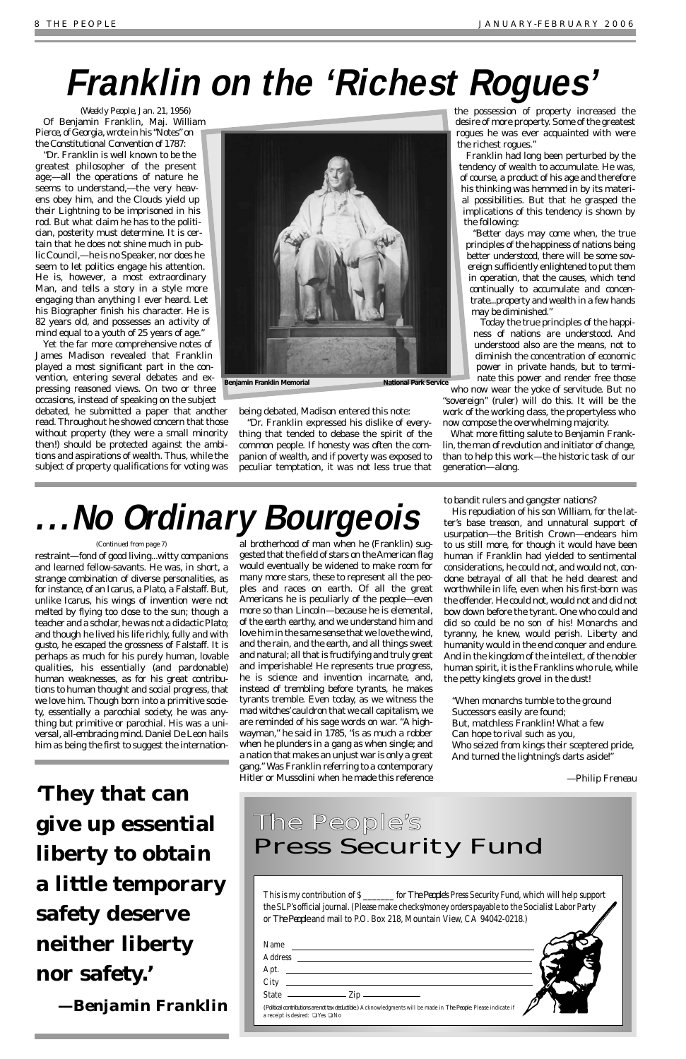(*Weekly People*, Jan. 21, 1956) Of Benjamin Franklin, Maj. William Pierce, of Georgia, wrote in his "Notes" on the Constitutional Convention of 1787:

"Dr. Franklin is well known to be the greatest philosopher of the present age;—all the operations of nature he seems to understand,—the very heavens obey him, and the Clouds yield up their Lightning to be imprisoned in his rod. But what claim he has to the politician, posterity must determine. It is certain that he does not shine much in public Council,—he is no Speaker, nor does he seem to let politics engage his attention. He is, however, a most extraordinary Man, and tells a story in a style more engaging than anything I ever heard. Let his Biographer finish his character. He is 82 years old, and possesses an activity of mind equal to a youth of 25 years of age."

Yet the far more comprehensive notes of James Madison revealed that Franklin played a most significant part in the convention, entering several debates and expressing reasoned views. On two or three occasions, instead of speaking on the subject

debated, he submitted a paper that another read. Throughout he showed concern that those without property (they were a small minority then!) should be protected against the ambitions and aspirations of wealth. Thus, while the subject of property qualifications for voting was

being debated, Madison entered this note:

"Dr. Franklin expressed his dislike of everything that tended to debase the spirit of the common people. If honesty was often the companion of wealth, and if poverty was exposed to peculiar temptation, it was not less true that the possession of property increased the desire of more property. Some of the greatest rogues he was ever acquainted with were the richest rogues."

Franklin had long been perturbed by the tendency of wealth to accumulate. He was, of course, a product of his age and therefore his thinking was hemmed in by its material possibilities. But that he grasped the implications of this tendency is shown by the following:

"Better days may come when, the true principles of the happiness of nations being better understood, there will be some sovereign sufficiently enlightened to put them in operation, that the causes, which tend continually to accumulate and concentrate...property and wealth in a few hands may be diminished."

Today the true principles of the happiness of nations *are* understood. And understood also are the means, not to *diminish* the concentration of economic power in private hands, but to *terminate* this power and render free those

who now wear the yoke of servitude. But no "sovereign" (ruler) will do this. It will be the work of the working class, the propertyless who now compose the overwhelming majority.

What more fitting salute to Benjamin Franklin, the man of revolution and initiator of change, than to help this work—the historic task of our generation—along.

restraint—fond of good living...witty companions and learned fellow-savants. He was, in short, a strange combination of diverse personalities, as for instance, of an Icarus, a Plato, a Falstaff. But, unlike Icarus, his wings of invention were not melted by flying too close to the sun; though a teacher and a scholar, he was not a didactic Plato; and though he lived his life richly, fully and with gusto, he escaped the grossness of Falstaff. It is perhaps as much for his purely human, lovable qualities, his essentially (and pardonable) human weaknesses, as for his great contributions to human thought and social progress, that we love him. Though born into a primitive society, essentially a parochial society, he was anything but primitive or parochial. His was a universal, all-embracing mind. Daniel De Leon hails him as being the first to suggest the internation-

al brotherhood of man when he (Franklin) suggested that the field of stars on the American flag would eventually be widened to make room for many more stars, these to represent all the peoples and races on earth. Of all the great Americans he is peculiarly of the people—even more so than Lincoln—because he is elemental, of the earth earthy, and we understand him and love him in the same sense that we love the wind, and the rain, and the earth, and all things sweet and natural; all that is fructifying and truly great and imperishable! He represents true progress, he is science and invention incarnate, and, instead of trembling before tyrants, he makes tyrants tremble. Even today, as we witness the mad witches'cauldron that we call capitalism, we are reminded of his sage words on war. "A highwayman," he said in 1785, "is as much a robber when he plunders in a gang as when single; and a nation that makes an unjust war is only a great gang." Was Franklin referring to a contemporary Hitler or Mussolini when he made this reference

to bandit rulers and gangster nations?

His repudiation of his son William, for the latter's base treason, and unnatural support of usurpation—the British Crown—endears him to us still more, for though it would have been human if Franklin had yielded to sentimental considerations, he could not, and would not, condone betrayal of all that he held dearest and worthwhile in life, even when his first-born was the offender. He could not, would not and did not bow down before the tyrant. One who could and did so could be no son of his! Monarchs and tyranny, he knew, would perish. Liberty and humanity would in the end conquer and endure. And in the kingdom of the intellect, of the nobler human spirit, it is the Franklins who rule, while the petty kinglets grovel in the dust!

"When monarchs tumble to the ground Successors easily are found; But, matchless Franklin! What a few Can hope to rival such as you, Who seized from kings their sceptered pride, And turned the lightning's darts aside!"

### —*Philip Freneau*



# **Franklin on the 'Richest Rogues'**

# **. . . No Ordinary Bourgeois**

### *(Continued from page 7)*

**'They that can give up essential liberty to obtain a little temporary safety deserve neither liberty nor safety.'** *—Benjamin Franklin*

This is my contribution of \$ \_\_\_\_\_\_\_ for *The People*'s Press Security Fund, which will help support the SLP's official journal. (Please make checks/money orders payable to the Socialist Labor Party or *The People* and mail to P.O. Box 218, Mountain View, CA 94042-0218.)

| Name                                                                                                                                                           |  |
|----------------------------------------------------------------------------------------------------------------------------------------------------------------|--|
| <b>Address</b>                                                                                                                                                 |  |
| Apt.                                                                                                                                                           |  |
| City                                                                                                                                                           |  |
| <b>State</b><br>$-Zip$                                                                                                                                         |  |
| (Political contributions are not tax deductible.) Acknowledgments will be made in The People. Please indicate if<br>a receipt is desired: $\Box$ Yes $\Box$ No |  |

### The People's Press Security Fund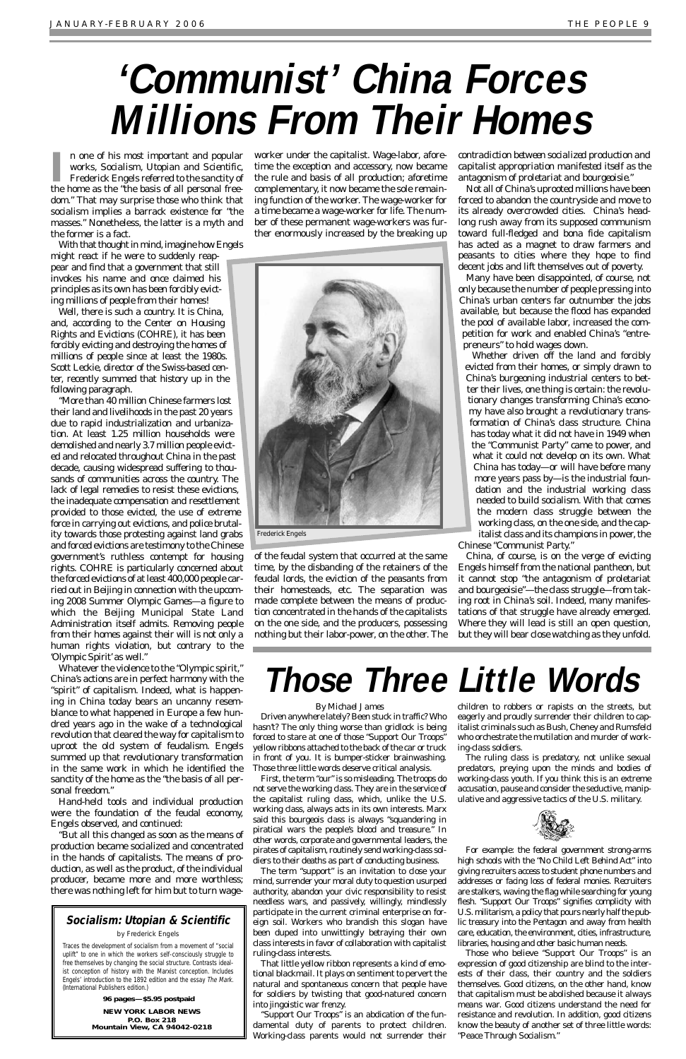II n one of his most important and popular works, *Socialism*, *Utopian and Scientific*, Frederick Engels referred to the sanctity of the home as the "the basis of all personal freen one of his most important and popular works, *Socialism, Utopian and Scientific*, Frederick Engels referred to the sanctity of dom." That may surprise those who think that socialism implies a barrack existence for "the masses." Nonetheless, the latter is a myth and the former is a fact.

With that thought in mind, imagine how Engels

might react if he were to suddenly reappear and find that a government that still invokes his name and once claimed his principles as its own has been forcibly evicting millions of people from their homes!

Well, there is such a country. It is China, and, according to the Center on Housing Rights and Evictions (COHRE), it has been forcibly evicting and destroying the homes of millions of people since at least the 1980s. Scott Leckie, director of the Swiss-based center, recently summed that history up in the following paragraph.

"More than 40 million Chinese farmers lost their land and livelihoods in the past 20 years due to rapid industrialization and urbanization. At least 1.25 million households were demolished and nearly 3.7 million people evicted and relocated throughout China in the past decade, causing widespread suffering to thousands of communities across the country. The lack of legal remedies to resist these evictions, the inadequate compensation and resettlement provided to those evicted, the use of extreme force in carrying out evictions, and police brutality towards those protesting against land grabs and forced evictions are testimony to the Chinese government's ruthless contempt for housing rights. COHRE is particularly concerned about the forced evictions of at least 400,000 people carried out in Beijing in connection with the upcoming 2008 Summer Olympic Games—a figure to which the Beijing Municipal State Land Administration itself admits. Removing people from their homes against their will is not only a human rights violation, but contrary to the 'Olympic Spirit' as well."

Whatever the violence to the "Olympic spirit," China's actions are in perfect harmony with the "spirit" of capitalism. Indeed, what is happening in China today bears an uncanny resemblance to what happened in Europe a few hundred years ago in the wake of a technological revolution that cleared the way for capitalism to uproot the old system of feudalism. Engels summed up that revolutionary transformation in the same work in which he identified the sanctity of the home as the "the basis of all personal freedom." Hand-held tools and individual production were the foundation of the feudal economy, Engels observed, and continued: "But all this changed as soon as the means of production became socialized and concentrated in the hands of capitalists. The means of production, as well as the product, of the individual producer, became more and more worthless; there was nothing left for him but to turn wageworker under the capitalist. Wage-labor, aforetime the exception and accessory, now became the rule and basis of all production; aforetime complementary, it now became the sole remaining function of the worker. The wage-worker for a time became a wage-worker for life. The number of these permanent wage-workers was further enormously increased by the breaking up

of the feudal system that occurred at the same time, by the disbanding of the retainers of the feudal lords, the eviction of the peasants from their homesteads, etc. The separation was made complete between the means of production concentrated in the hands of the capitalists on the one side, and the producers, possessing nothing but their labor-power, on the other. *The* *contradiction between socialized production and capitalist appropriation manifested itself as the antagonism of proletariat and bourgeoisie."*

Not all of China's uprooted millions have been forced to abandon the countryside and move to its already overcrowded cities. China's headlong rush away from its supposed communism toward full-fledged and bona fide capitalism has acted as a magnet to draw farmers and peasants to cities where they hope to find decent jobs and lift themselves out of poverty.

Many have been disappointed, of course, not only because the number of people pressing into China's urban centers far outnumber the jobs available, but because the flood has expanded the pool of available labor, increased the competition for work and enabled China's "entrepreneurs" to hold wages down.

Whether driven off the land and forcibly evicted from their homes, or simply drawn to China's burgeoning industrial centers to better their lives, one thing is certain: the revolutionary changes transforming China's economy have also brought a revolutionary transformation of China's class structure. China has today what it did not have in 1949 when the "Communist Party" came to power, and what it could not develop on its own. What China has today—or will have before many more years pass by—is the industrial foundation and the industrial working class needed to build socialism. With that comes the modern class struggle between the working class, on the one side, and the capitalist class and its champions in power, the

Chinese "Communist Party."

China, of course, is on the verge of evicting Engels himself from the national pantheon, but it cannot stop "the antagonism of proletariat and bourgeoisie"—*the class struggle*—from taking root in China's soil. Indeed, many manifestations of that struggle have already emerged. Where they will lead is still an open question, but they will bear close watching as they unfold.

## **Those Three Little Words**

### *By Michael James*

Driven anywhere lately? Been stuck in traffic? Who hasn't? The only thing worse than gridlock is being forced to stare at one of those "Support Our Troops" yellow ribbons attached to the back of the car or truck in front of you. It is bumper-sticker brainwashing. Those three little words deserve critical analysis.

First, the term "our" is so misleading. The troops do not serve the working class. They are in the service of the capitalist ruling class, which, unlike the U.S. working class, always acts in its own interests. Marx said this bourgeois class is always "squandering in piratical wars the people's blood and treasure." In other words, corporate and governmental leaders, the pirates of capitalism, routinely send working-class soldiers to their deaths as part of conducting business. The term "support" is an invitation to close your mind, surrender your moral duty to question usurped authority, abandon your civic responsibility to resist needless wars, and passively, willingly, mindlessly participate in the current criminal enterprise on foreign soil. Workers who brandish this slogan have been duped into unwittingly betraying their own class interests in favor of collaboration with capitalist

ruling-class interests.

That little yellow ribbon represents a kind of emotional blackmail. It plays on sentiment to pervert the natural and spontaneous concern that people have for soldiers by twisting that good-natured concern into jingoistic war frenzy.

"Support Our Troops" is an abdication of the fundamental duty of parents to protect children. Working-class parents would not surrender their children to robbers or rapists on the streets, but eagerly and proudly surrender their children to capitalist criminals such as Bush, Cheney and Rumsfeld who orchestrate the mutilation and murder of working-class soldiers.

The ruling class is predatory, not unlike sexual predators, preying upon the minds and bodies of

working-class youth. If you think this is an extreme accusation, pause and consider the seductive, manipulative and aggressive tactics of the U.S. military.



For example: the federal government strong-arms high schools with the "No Child Left Behind Act" into giving recruiters access to student phone numbers and addresses or facing loss of federal monies. Recruiters are stalkers, waving the flag while searching for young flesh. "Support Our Troops" signifies complicity with U.S. militarism, a policy that pours nearly half the public treasury into the Pentagon and away from health care, education, the environment, cities, infrastructure, libraries, housing and other basic human needs.

Those who believe "Support Our Troops" is an expression of good citizenship are blind to the interests of their class, their country and the soldiers themselves. Good citizens, on the other hand, know that capitalism must be abolished because it always means war. Good citizens understand the need for resistance and revolution. In addition, good citizens know the beauty of another set of three little words: "Peace Through Socialism."

# **'Communist' China Forces Millions From Their Homes**



**96 pages—\$5.95 postpaid**

**NEW YORK LABOR NEWS P.O. Box 218 Mountain View, CA 94042-0218**

### **Socialism: Utopian & Scientific**

by Frederick Engels

Traces the development of socialism from a movement of "social uplift" to one in which the workers self-consciously struggle to free themselves by changing the social structure. Contrasts idealist conception of history with the Marxist conception. Includes Engels' introduction to the 1892 edition and the essay The Mark. (International Publishers edition.)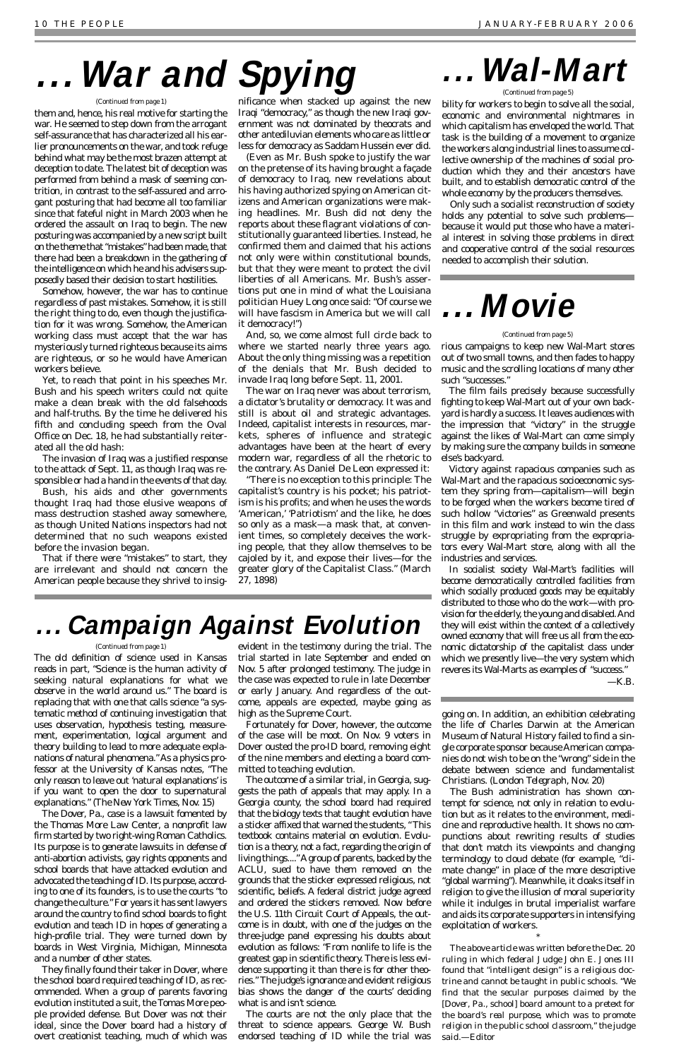The old definition of science used in Kansas reads in part, "Science is the human activity of seeking natural explanations for what we observe in the world around us." The board is replacing that with one that calls science "a systematic method of continuing investigation that uses observation, hypothesis testing, measurement, experimentation, logical argument and theory building to lead to more adequate explanations of natural phenomena." As a physics professor at the University of Kansas notes, "The only reason to leave out 'natural explanations' is if you want to open the door to supernatural explanations." (*The New York Times*, Nov. 15) The Dover, Pa., case is a lawsuit fomented by the Thomas More Law Center, a nonprofit law firm started by two right-wing Roman Catholics. Its purpose is to generate lawsuits in defense of anti-abortion activists, gay rights opponents and school boards that have attacked evolution and advocated the teaching of ID. Its purpose, according to one of its founders, is to use the courts "to change the culture." For years it has sent lawyers around the country to find school boards to fight evolution and teach ID in hopes of generating a high-profile trial. They were turned down by boards in West Virginia, Michigan, Minnesota and a number of other states. They finally found their taker in Dover, where the school board required teaching of ID, as recommended. When a group of parents favoring evolution instituted a suit, the Tomas More people provided defense. But Dover was not their ideal, since the Dover board had a history of overt creationist teaching, much of which was

evident in the testimony during the trial. The trial started in late September and ended on Nov. 5 after prolonged testimony. The judge in the case was expected to rule in late December or early January. And regardless of the outcome, appeals are expected, maybe going as high as the Supreme Court.

Fortunately for Dover, however, the outcome of the case will be moot. On Nov. 9 voters in Dover ousted the pro-ID board, removing eight of the nine members and electing a board committed to teaching evolution. The outcome of a similar trial, in Georgia, suggests the path of appeals that may apply. In a Georgia county, the school board had required that the biology texts that taught evolution have a sticker affixed that warned the students, "This textbook contains material on evolution. Evolution is a theory, not a fact, regarding the origin of living things...." Agroup of parents, backed by the ACLU, sued to have them removed on the grounds that the sticker expressed religious, not scientific, beliefs. A federal district judge agreed and ordered the stickers removed. Now before the U.S. 11th Circuit Court of Appeals, the outcome is in doubt, with one of the judges on the three-judge panel expressing his doubts about evolution as follows: "From nonlife to life is the greatest gap in scientific theory. There is less evidence supporting it than there is for other theories." The judge's ignorance and evident religious bias shows the danger of the courts' deciding what is and isn't science. The courts are not the only place that the threat to science appears. George W. Bush endorsed teaching of ID while the trial was

going on. In addition, an exhibition celebrating the life of Charles Darwin at the American Museum of Natural History failed to find a single corporate sponsor because American companies do not wish to be on the "wrong" side in the debate between science and fundamentalist

Christians. (*London Telegraph*, Nov. 20)

The Bush administration has shown contempt for science, not only in relation to evolution but as it relates to the environment, medicine and reproductive health. It shows no compunctions about rewriting results of studies that don't match its viewpoints and changing terminology to cloud debate (for example, "climate change" in place of the more descriptive "global warming"). Meanwhile, it cloaks itself in religion to give the illusion of moral superiority while it indulges in brutal imperialist warfare and aids its corporate supporters in intensifying exploitation of workers.

\* *The above article was written before the Dec. 20 ruling in which federal Judge John E. Jones III found that "intelligent design" is a religious doctrine and cannot be taught in public schools. "We find that the secular purposes claimed by the [Dover, Pa., school] board amount to a pretext for the board's real purpose, which was to promote*

*religion in the public school classroom," the judge said.—Editor* 

rious campaigns to keep new Wal-Mart stores out of two small towns, and then fades to happy music and the scrolling locations of many other such "successes."

The film fails precisely because successfully fighting to keep Wal-Mart out of your own backyard is hardly a success. It leaves audiences with the impression that "victory" in the struggle against the likes of Wal-Mart can come simply by making sure the company builds in someone else's backyard.

Victory against rapacious companies such as Wal-Mart and the rapacious socioeconomic system they spring from—capitalism—will begin to be forged when the workers become tired of such hollow "victories" as Greenwald presents in this film and work instead to win the class struggle by expropriating from the expropriators every Wal-Mart store, along with all the industries and services.

In socialist society Wal-Mart's facilities will become democratically controlled facilities from which socially produced goods may be equitably distributed to those who do the work—with provision for the elderly, the young and disabled. And they will exist within the context of a collectively owned economy that will free us all from the economic dictatorship of the capitalist class under which we presently live—the very system which reveres its Wal-Marts as examples of "success."

*—K.B.*

## **Campaign Against Evolution**

bility for workers to begin to solve all the social, economic and environmental nightmares in which capitalism has enveloped the world. That task is the building of a movement to organize the workers along industrial lines to assume collective ownership of the machines of social production which they and their ancestors have built, and to establish democratic control of the whole economy by the producers themselves.

Only such a socialist reconstruction of society holds any potential to solve such problems because it would put those who have a material interest in solving those problems in direct and cooperative control of the social resources needed to accomplish their solution.

them and, hence, his real motive for starting the war. He seemed to step down from the arrogant self-assurance that has characterized all his earlier pronouncements on the war, and took refuge behind what may be the most brazen attempt at deception to date. The latest bit of deception was performed from behind a mask of seeming contrition, in contrast to the self-assured and arrogant posturing that had become all too familiar since that fateful night in March 2003 when he ordered the assault on Iraq to begin. The new posturing was accompanied by a new script built on the theme that "mistakes" had been made, that there had been a breakdown in the gathering of the intelligence on which he and his advisers supposedly based their decision to start hostilities.

Somehow, however, the war has to continue regardless of past mistakes. Somehow, it is still the right thing to do, even though the justification for it was wrong. Somehow, the American working class must accept that the war has mysteriously turned righteous because its aims are righteous, or so he would have American workers believe.

Yet, to reach that point in his speeches Mr. Bush and his speech writers could not quite make a clean break with the old falsehoods and half-truths. By the time he delivered his fifth and concluding speech from the Oval Office on Dec. 18, he had substantially reiterated all the old hash:

The invasion of Iraq was a justified response to the attack of Sept. 11, as though Iraq was responsible or had a hand in the events of that day.

Bush, his aids and other governments thought Iraq had those elusive weapons of mass destruction stashed away somewhere, as though United Nations inspectors had not determined that no such weapons existed before the invasion began.

That if there were "mistakes" to start, they are irrelevant and should not concern the American people because they shrivel to insig-

nificance when stacked up against the new Iraqi "democracy," as though the new Iraqi government was not dominated by theocrats and other antediluvian elements who care as little or less for democracy as Saddam Hussein ever did.

(Even as Mr. Bush spoke to justify the war on the pretense of its having brought a façade of democracy to Iraq, new revelations about his having authorized spying on American citizens and American organizations were making headlines. Mr. Bush did not deny the reports about these flagrant violations of constitutionally guaranteed liberties. Instead, he confirmed them and claimed that his actions not only were within constitutional bounds, but that they were meant to protect the civil liberties of all Americans. Mr. Bush's assertions put one in mind of what the Louisiana politician Huey Long once said: "Of course we will have fascism in America but we will call it democracy!")

And, so, we come almost full circle back to where we started nearly three years ago. About the only thing missing was a repetition of the denials that Mr. Bush decided to invade Iraq long before Sept. 11, 2001.

The war on Iraq never was about terrorism, a dictator's brutality or democracy. It was and still is about oil and strategic advantages. Indeed, capitalist interests in resources, markets, spheres of influence and strategic advantages have been at the heart of every modern war, regardless of all the rhetoric to the contrary. As Daniel De Leon expressed it:

"There is no exception to this principle: The capitalist's country is his pocket; his patriotism is his profits; and when he uses the words 'American,' 'Patriotism' and the like, he does so only as a mask—a mask that, at convenient times, so completely deceives the working people, that they allow themselves to be cajoled by it, and expose their lives—for the greater glory of the Capitalist Class." (March 27, 1898)

## Wal-Mart

# **.. War and Spying**  ... Wal-

## **. . .Movie**

#### *(Continued from page 1)*

### *(Continued from page 1)*

### *(Continued from page 5)*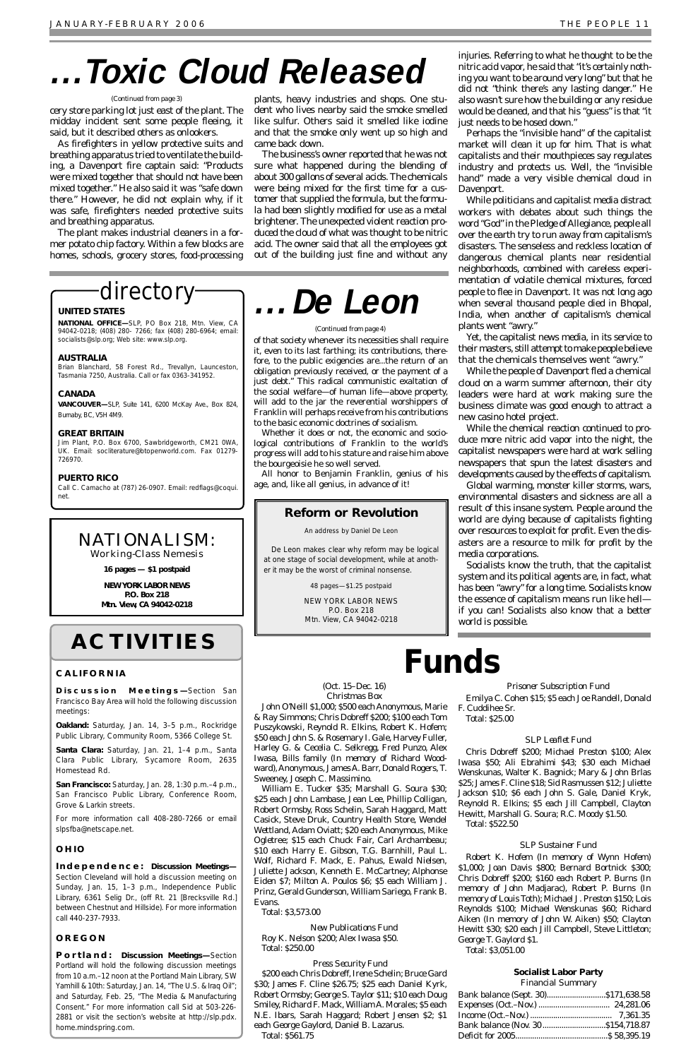cery store parking lot just east of the plant. The midday incident sent some people fleeing, it said, but it described others as onlookers.

As firefighters in yellow protective suits and breathing apparatus tried to ventilate the building, a Davenport fire captain said: "Products were mixed together that should not have been mixed together." He also said it was "safe down there." However, he did not explain why, if it was safe, firefighters needed protective suits and breathing apparatus.

The plant makes industrial cleaners in a former potato chip factory. Within a few blocks are homes, schools, grocery stores, food-processing

plants, heavy industries and shops. One student who lives nearby said the smoke smelled like sulfur. Others said it smelled like iodine and that the smoke only went up so high and came back down.

The business's owner reported that he was not sure what happened during the blending of about 300 gallons of several acids. The chemicals were being mixed for the first time for a customer that supplied the formula, but the formula had been slightly modified for use as a metal brightener. The unexpected violent reaction produced the cloud of what was thought to be nitric acid. The owner said that all the employees got out of the building just fine and without any

### directory-

injuries. Referring to what he thought to be the nitric acid vapor, he said that "it's certainly nothing you want to be around very long" but that he did not "think there's any lasting danger." He also wasn't sure how the building or any residue would be cleaned, and that his "guess" is that "it just needs to be hosed down."

Perhaps the "invisible hand" of the capitalist market will clean it up for him. That is what capitalists and their mouthpieces say regulates industry and protects us. Well, the "invisible hand" made a very *visible* chemical cloud in Davenport.

While politicians and capitalist media distract workers with debates about such things the word "God" in the Pledge of Allegiance, people all over the earth try to run away from capitalism's disasters. The senseless and reckless location of dangerous chemical plants near residential neighborhoods, combined with careless experimentation of volatile chemical mixtures, forced people to flee in Davenport. It was not long ago when several thousand people died in Bhopal, India, when another of capitalism's chemical plants went "awry."

Yet, the capitalist news media, in its service to their masters, still attempt to make people believe that the chemicals themselves went "awry."

While the people of Davenport fled a chemical cloud on a warm summer afternoon, their city leaders were hard at work making sure the business climate was good enough to attract a new casino hotel project.

While the chemical reaction continued to produce more nitric acid vapor into the night, the capitalist newspapers were hard at work selling newspapers that spun the latest disasters and developments caused by the effects of capitalism.

Global warming, monster killer storms, wars, environmental disasters and sickness are all a result of this insane system. People around the world are dying because of capitalists fighting over resources to exploit for profit. Even the disasters are a resource to milk for profit by the media corporations.

Socialists know the truth, that the capitalist system and its political agents are, in fact, what has been "awry" for a long time. Socialists know the essence of capitalism means run like hell if you can! Socialists also know that a better world is possible.

### (Oct. 15–Dec. 16) *Christmas Box*

John O'Neill \$1,000; \$500 each Anonymous, Marie & Ray Simmons; Chris Dobreff \$200; \$100 each Tom Puszykowski, Reynold R. Elkins, Robert K. Hofem; \$50 each John S. & Rosemary I. Gale, Harvey Fuller, Harley G. & Cecelia C. Selkregg, Fred Punzo, Alex Iwasa, Bills family (In memory of Richard Woodward), Anonymous, James A. Barr, Donald Rogers, T.

Sweeney, Joseph C. Massimino.

William E. Tucker \$35; Marshall G. Soura \$30; \$25 each John Lambase, Jean Lee, Phillip Colligan, Robert Ormsby, Ross Schelin, Sarah Haggard, Matt Casick, Steve Druk, Country Health Store, Wendel Wettland, Adam Oviatt; \$20 each Anonymous, Mike Ogletree; \$15 each Chuck Fair, Carl Archambeau; \$10 each Harry E. Gibson, T.G. Barnhill, Paul L. Wolf, Richard F. Mack, E. Pahus, Ewald Nielsen, Juliette Jackson, Kenneth E. McCartney; Alphonse Eiden \$7; Milton A. Poulos \$6; \$5 each William J. Prinz, Gerald Gunderson, William Sariego, Frank B. Evans.

Total: \$3,573.00

*New Publications Fund* Roy K. Nelson \$200; Alex Iwasa \$50. Total: \$250.00

*Press Security Fund* \$200 each Chris Dobreff, Irene Schelin; Bruce Gard \$30; James F. Cline \$26.75; \$25 each Daniel Kyrk, Robert Ormsby; George S. Taylor \$11; \$10 each Doug Smiley, Richard F. Mack, William A. Morales; \$5 each N.E. Ibars, Sarah Haggard; Robert Jensen \$2; \$1 each George Gaylord, Daniel B. Lazarus. Total: \$561.75

*Prisoner Subscription Fund* Emilya C. Cohen \$15; \$5 each Joe Randell, Donald F. Cuddihee Sr.

Total: \$25.00

### *SLP Leaflet Fund*

Chris Dobreff \$200; Michael Preston \$100; Alex Iwasa \$50; Ali Ebrahimi \$43; \$30 each Michael Wenskunas, Walter K. Bagnick; Mary & John Brlas \$25; James F. Cline \$18; Sid Rasmussen \$12; Juliette Jackson \$10; \$6 each John S. Gale, Daniel Kryk, Reynold R. Elkins; \$5 each Jill Campbell, Clayton Hewitt, Marshall G. Soura; R.C. Moody \$1.50. Total: \$522.50

### *SLP Sustainer Fund*

Robert K. Hofem (In memory of Wynn Hofem) \$1,000; Joan Davis \$800; Bernard Bortnick \$300; Chris Dobreff \$200; \$160 each Robert P. Burns (In memory of John Madjarac), Robert P. Burns (In memory of Louis Toth); Michael J. Preston \$150; Lois Reynolds \$100; Michael Wenskunas \$60; Richard Aiken (In memory of John W. Aiken) \$50; Clayton Hewitt \$30; \$20 each Jill Campbell, Steve Littleton; George T. Gaylord \$1. Total: \$3,051.00

### **Socialist Labor Party**

*Financial Summary*

| Bank balance (Nov. 30\$154,718.87 |  |
|-----------------------------------|--|
|                                   |  |

of that society whenever its necessities shall require it, even to its last farthing; its contributions, therefore, to the public exigencies are...the return of an obligation previously received, or the payment of a just debt." This radical communistic exaltation of the social welfare—of human life—above property, will add to the jar the reverential worshippers of Franklin will perhaps receive from his contributions to the basic economic doctrines of socialism.

Whether it does or not, the economic and sociological contributions of Franklin to the world's progress will add to his stature and raise him above the bourgeoisie he so well served.

All honor to Benjamin Franklin, genius of his age, and, like all genius, in advance of it!

## **Funds**

# **. . .Toxic Cloud Released**

#### *(Continued from page 3)*

# **. . .De Leon**

#### *(Continued from page 4)*

### **ACTIVITIES**

### **CALIFORNIA**

**Discussion Meetings—**Section San Francisco Bay Area will hold the following discussion meetings:

**Oakland:** Saturday, Jan. 14, 3–5 p.m., Rockridge Public Library, Community Room, 5366 College St.

**Santa Clara:** Saturday, Jan. 21, 1–4 p.m., Santa Clara Public Library, Sycamore Room, 2635 Homestead Rd.

**San Francisco:** Saturday, Jan. 28, 1:30 p.m.–4 p.m., San Francisco Public Library, Conference Room, Grove & Larkin streets.

For more information call 408-280-7266 or email slpsfba@netscape.net.

### **OHIO**

**Independence: Discussion Meetings—**

Section Cleveland will hold a discussion meeting on Sunday, Jan. 15, 1–3 p.m., Independence Public Library, 6361 Selig Dr., (off Rt. 21 [Brecksville Rd.] between Chestnut and Hillside). For more information call 440-237-7933.

### **OREGON**

**Portland: Discussion Meetings—**Section Portland will hold the following discussion meetings from 10 a.m.–12 noon at the Portland Main Library, SW Yamhill & 10th: Saturday, Jan. 14, "The U.S. & Iraq Oil"; and Saturday, Feb. 25, "The Media & Manufacturing Consent." For more information call Sid at 503-226- 2881 or visit the section's website at http://slp.pdx. home.mindspring.com.

### *NATIONALISM: Working-Class Nemesis*

**16 pages — \$1 postpaid**

**NEW YORK LABOR NEWS P.O. Box 218 Mtn. View, CA 94042-0218**

### **UNITED STATES**

**NATIONAL OFFICE—**SLP, PO Box 218, Mtn. View, CA 94042-0218; (408) 280- 7266; fax (408) 280-6964; email: socialists@slp.org; Web site: www.slp.org.

#### **AUSTRALIA**

Brian Blanchard, 58 Forest Rd., Trevallyn, Launceston, Tasmania 7250, Australia. Call or fax 0363-341952.

### **CANADA**

**VANCOUVER—**SLP, Suite 141, 6200 McKay Ave., Box 824, Burnaby, BC, V5H 4M9.

#### **GREAT BRITAIN**

Jim Plant, P.O. Box 6700, Sawbridgeworth, CM21 0WA, UK. Email: socliterature@btopenworld.com. Fax 01279- 726970.

### **PUERTO RICO**

Call C. Camacho at (787) 26-0907. Email: redflags@coqui. net.

### **Reform or Revolution**

An address by Daniel De Leon

De Leon makes clear why reform may be logical at one stage of social development, while at another it may be the worst of criminal nonsense.

48 pages—\$1.25 postpaid

NEW YORK LABOR NEWS P.O. Box 218 Mtn. View, CA 94042-0218